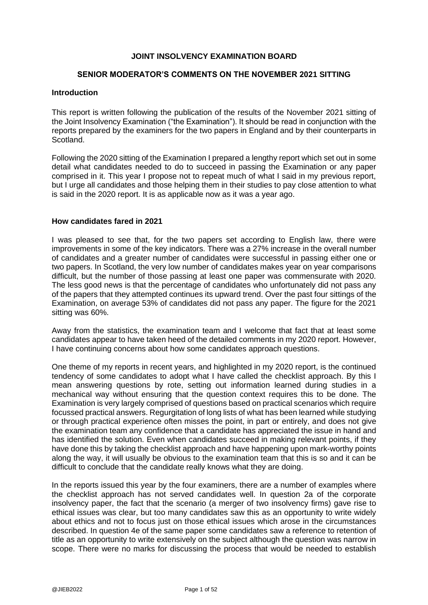#### **JOINT INSOLVENCY EXAMINATION BOARD**

#### **SENIOR MODERATOR'S COMMENTS ON THE NOVEMBER 2021 SITTING**

#### **Introduction**

This report is written following the publication of the results of the November 2021 sitting of the Joint Insolvency Examination ("the Examination"). It should be read in conjunction with the reports prepared by the examiners for the two papers in England and by their counterparts in Scotland.

Following the 2020 sitting of the Examination I prepared a lengthy report which set out in some detail what candidates needed to do to succeed in passing the Examination or any paper comprised in it. This year I propose not to repeat much of what I said in my previous report, but I urge all candidates and those helping them in their studies to pay close attention to what is said in the 2020 report. It is as applicable now as it was a year ago.

#### **How candidates fared in 2021**

I was pleased to see that, for the two papers set according to English law, there were improvements in some of the key indicators. There was a 27% increase in the overall number of candidates and a greater number of candidates were successful in passing either one or two papers. In Scotland, the very low number of candidates makes year on year comparisons difficult, but the number of those passing at least one paper was commensurate with 2020. The less good news is that the percentage of candidates who unfortunately did not pass any of the papers that they attempted continues its upward trend. Over the past four sittings of the Examination, on average 53% of candidates did not pass any paper. The figure for the 2021 sitting was 60%.

Away from the statistics, the examination team and I welcome that fact that at least some candidates appear to have taken heed of the detailed comments in my 2020 report. However, I have continuing concerns about how some candidates approach questions.

One theme of my reports in recent years, and highlighted in my 2020 report, is the continued tendency of some candidates to adopt what I have called the checklist approach. By this I mean answering questions by rote, setting out information learned during studies in a mechanical way without ensuring that the question context requires this to be done. The Examination is very largely comprised of questions based on practical scenarios which require focussed practical answers. Regurgitation of long lists of what has been learned while studying or through practical experience often misses the point, in part or entirely, and does not give the examination team any confidence that a candidate has appreciated the issue in hand and has identified the solution. Even when candidates succeed in making relevant points, if they have done this by taking the checklist approach and have happening upon mark-worthy points along the way, it will usually be obvious to the examination team that this is so and it can be difficult to conclude that the candidate really knows what they are doing.

In the reports issued this year by the four examiners, there are a number of examples where the checklist approach has not served candidates well. In question 2a of the corporate insolvency paper, the fact that the scenario (a merger of two insolvency firms) gave rise to ethical issues was clear, but too many candidates saw this as an opportunity to write widely about ethics and not to focus just on those ethical issues which arose in the circumstances described. In question 4e of the same paper some candidates saw a reference to retention of title as an opportunity to write extensively on the subject although the question was narrow in scope. There were no marks for discussing the process that would be needed to establish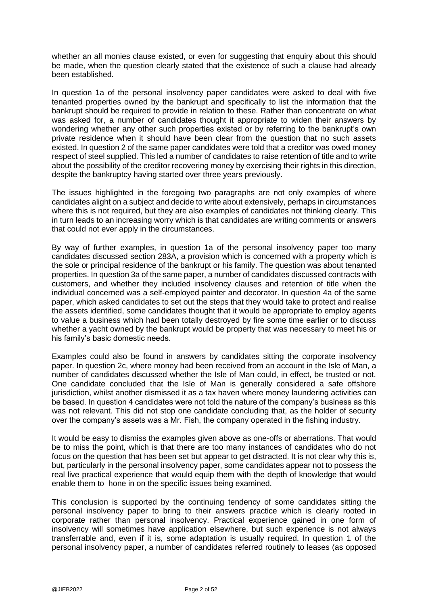whether an all monies clause existed, or even for suggesting that enquiry about this should be made, when the question clearly stated that the existence of such a clause had already been established.

In question 1a of the personal insolvency paper candidates were asked to deal with five tenanted properties owned by the bankrupt and specifically to list the information that the bankrupt should be required to provide in relation to these. Rather than concentrate on what was asked for, a number of candidates thought it appropriate to widen their answers by wondering whether any other such properties existed or by referring to the bankrupt's own private residence when it should have been clear from the question that no such assets existed. In question 2 of the same paper candidates were told that a creditor was owed money respect of steel supplied. This led a number of candidates to raise retention of title and to write about the possibility of the creditor recovering money by exercising their rights in this direction, despite the bankruptcy having started over three years previously.

The issues highlighted in the foregoing two paragraphs are not only examples of where candidates alight on a subject and decide to write about extensively, perhaps in circumstances where this is not required, but they are also examples of candidates not thinking clearly. This in turn leads to an increasing worry which is that candidates are writing comments or answers that could not ever apply in the circumstances.

By way of further examples, in question 1a of the personal insolvency paper too many candidates discussed section 283A, a provision which is concerned with a property which is the sole or principal residence of the bankrupt or his family. The question was about tenanted properties. In question 3a of the same paper, a number of candidates discussed contracts with customers, and whether they included insolvency clauses and retention of title when the individual concerned was a self-employed painter and decorator. In question 4a of the same paper, which asked candidates to set out the steps that they would take to protect and realise the assets identified, some candidates thought that it would be appropriate to employ agents to value a business which had been totally destroyed by fire some time earlier or to discuss whether a yacht owned by the bankrupt would be property that was necessary to meet his or his family's basic domestic needs.

Examples could also be found in answers by candidates sitting the corporate insolvency paper. In question 2c, where money had been received from an account in the Isle of Man, a number of candidates discussed whether the Isle of Man could, in effect, be trusted or not. One candidate concluded that the Isle of Man is generally considered a safe offshore jurisdiction, whilst another dismissed it as a tax haven where money laundering activities can be based. In question 4 candidates were not told the nature of the company's business as this was not relevant. This did not stop one candidate concluding that, as the holder of security over the company's assets was a Mr. Fish, the company operated in the fishing industry.

It would be easy to dismiss the examples given above as one-offs or aberrations. That would be to miss the point, which is that there are too many instances of candidates who do not focus on the question that has been set but appear to get distracted. It is not clear why this is, but, particularly in the personal insolvency paper, some candidates appear not to possess the real live practical experience that would equip them with the depth of knowledge that would enable them to hone in on the specific issues being examined.

This conclusion is supported by the continuing tendency of some candidates sitting the personal insolvency paper to bring to their answers practice which is clearly rooted in corporate rather than personal insolvency. Practical experience gained in one form of insolvency will sometimes have application elsewhere, but such experience is not always transferrable and, even if it is, some adaptation is usually required. In question 1 of the personal insolvency paper, a number of candidates referred routinely to leases (as opposed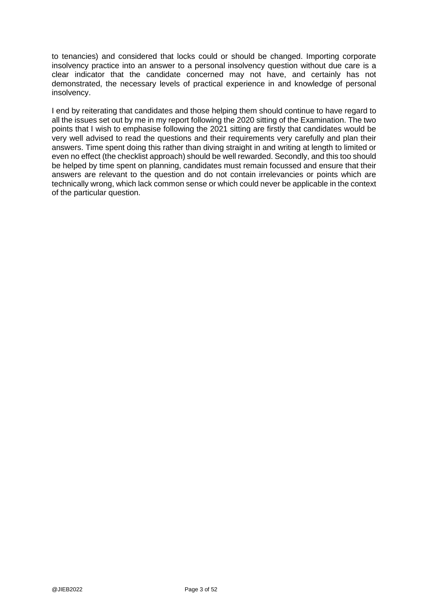to tenancies) and considered that locks could or should be changed. Importing corporate insolvency practice into an answer to a personal insolvency question without due care is a clear indicator that the candidate concerned may not have, and certainly has not demonstrated, the necessary levels of practical experience in and knowledge of personal insolvency.

I end by reiterating that candidates and those helping them should continue to have regard to all the issues set out by me in my report following the 2020 sitting of the Examination. The two points that I wish to emphasise following the 2021 sitting are firstly that candidates would be very well advised to read the questions and their requirements very carefully and plan their answers. Time spent doing this rather than diving straight in and writing at length to limited or even no effect (the checklist approach) should be well rewarded. Secondly, and this too should be helped by time spent on planning, candidates must remain focussed and ensure that their answers are relevant to the question and do not contain irrelevancies or points which are technically wrong, which lack common sense or which could never be applicable in the context of the particular question.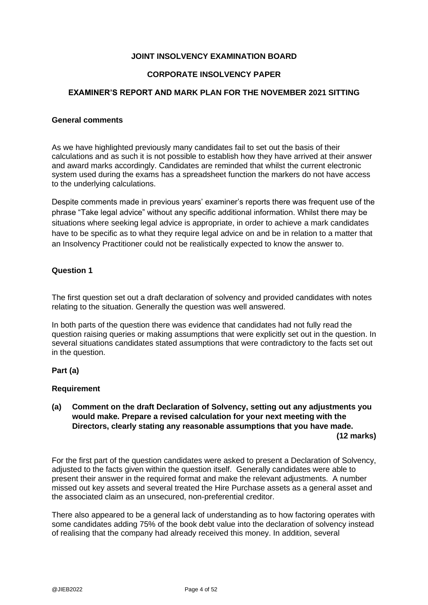### **JOINT INSOLVENCY EXAMINATION BOARD**

#### **CORPORATE INSOLVENCY PAPER**

#### **EXAMINER'S REPORT AND MARK PLAN FOR THE NOVEMBER 2021 SITTING**

#### **General comments**

As we have highlighted previously many candidates fail to set out the basis of their calculations and as such it is not possible to establish how they have arrived at their answer and award marks accordingly. Candidates are reminded that whilst the current electronic system used during the exams has a spreadsheet function the markers do not have access to the underlying calculations.

Despite comments made in previous years' examiner's reports there was frequent use of the phrase "Take legal advice" without any specific additional information. Whilst there may be situations where seeking legal advice is appropriate, in order to achieve a mark candidates have to be specific as to what they require legal advice on and be in relation to a matter that an Insolvency Practitioner could not be realistically expected to know the answer to.

#### **Question 1**

The first question set out a draft declaration of solvency and provided candidates with notes relating to the situation. Generally the question was well answered.

In both parts of the question there was evidence that candidates had not fully read the question raising queries or making assumptions that were explicitly set out in the question. In several situations candidates stated assumptions that were contradictory to the facts set out in the question.

#### **Part (a)**

#### **Requirement**

#### **(a) Comment on the draft Declaration of Solvency, setting out any adjustments you would make. Prepare a revised calculation for your next meeting with the Directors, clearly stating any reasonable assumptions that you have made. (12 marks)**

For the first part of the question candidates were asked to present a Declaration of Solvency, adjusted to the facts given within the question itself. Generally candidates were able to present their answer in the required format and make the relevant adjustments. A number missed out key assets and several treated the Hire Purchase assets as a general asset and the associated claim as an unsecured, non-preferential creditor.

There also appeared to be a general lack of understanding as to how factoring operates with some candidates adding 75% of the book debt value into the declaration of solvency instead of realising that the company had already received this money. In addition, several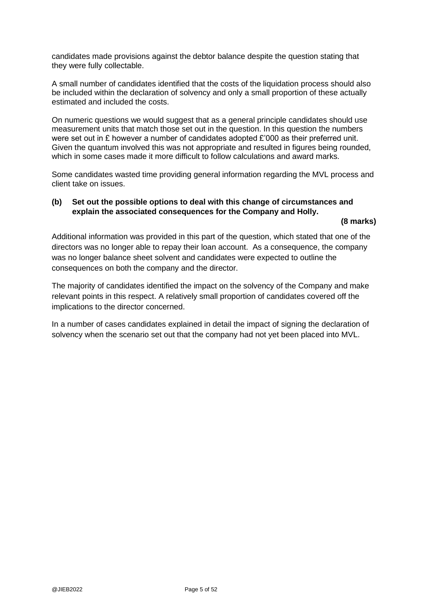candidates made provisions against the debtor balance despite the question stating that they were fully collectable.

A small number of candidates identified that the costs of the liquidation process should also be included within the declaration of solvency and only a small proportion of these actually estimated and included the costs.

On numeric questions we would suggest that as a general principle candidates should use measurement units that match those set out in the question. In this question the numbers were set out in £ however a number of candidates adopted £'000 as their preferred unit. Given the quantum involved this was not appropriate and resulted in figures being rounded, which in some cases made it more difficult to follow calculations and award marks.

Some candidates wasted time providing general information regarding the MVL process and client take on issues.

## **(b) Set out the possible options to deal with this change of circumstances and explain the associated consequences for the Company and Holly.**

#### **(8 marks)**

Additional information was provided in this part of the question, which stated that one of the directors was no longer able to repay their loan account. As a consequence, the company was no longer balance sheet solvent and candidates were expected to outline the consequences on both the company and the director.

The majority of candidates identified the impact on the solvency of the Company and make relevant points in this respect. A relatively small proportion of candidates covered off the implications to the director concerned.

In a number of cases candidates explained in detail the impact of signing the declaration of solvency when the scenario set out that the company had not yet been placed into MVL.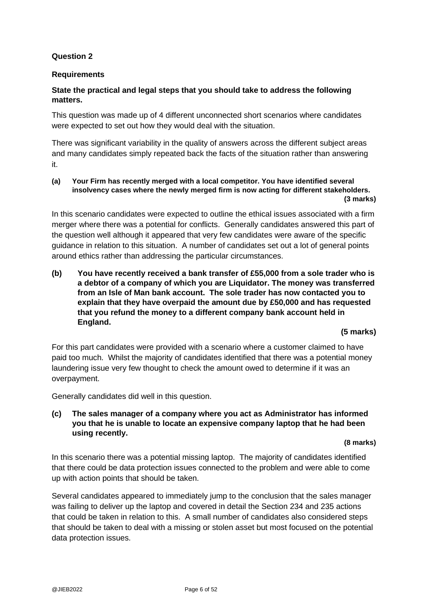### **Question 2**

### **Requirements**

### **State the practical and legal steps that you should take to address the following matters.**

This question was made up of 4 different unconnected short scenarios where candidates were expected to set out how they would deal with the situation.

There was significant variability in the quality of answers across the different subject areas and many candidates simply repeated back the facts of the situation rather than answering it.

#### **(a) Your Firm has recently merged with a local competitor. You have identified several insolvency cases where the newly merged firm is now acting for different stakeholders. (3 marks)**

In this scenario candidates were expected to outline the ethical issues associated with a firm merger where there was a potential for conflicts. Generally candidates answered this part of the question well although it appeared that very few candidates were aware of the specific guidance in relation to this situation. A number of candidates set out a lot of general points around ethics rather than addressing the particular circumstances.

**(b) You have recently received a bank transfer of £55,000 from a sole trader who is a debtor of a company of which you are Liquidator. The money was transferred from an Isle of Man bank account. The sole trader has now contacted you to explain that they have overpaid the amount due by £50,000 and has requested that you refund the money to a different company bank account held in England.** 

#### **(5 marks)**

For this part candidates were provided with a scenario where a customer claimed to have paid too much. Whilst the majority of candidates identified that there was a potential money laundering issue very few thought to check the amount owed to determine if it was an overpayment.

Generally candidates did well in this question.

### **(c) The sales manager of a company where you act as Administrator has informed you that he is unable to locate an expensive company laptop that he had been using recently.**

#### **(8 marks)**

In this scenario there was a potential missing laptop. The majority of candidates identified that there could be data protection issues connected to the problem and were able to come up with action points that should be taken.

Several candidates appeared to immediately jump to the conclusion that the sales manager was failing to deliver up the laptop and covered in detail the Section 234 and 235 actions that could be taken in relation to this. A small number of candidates also considered steps that should be taken to deal with a missing or stolen asset but most focused on the potential data protection issues.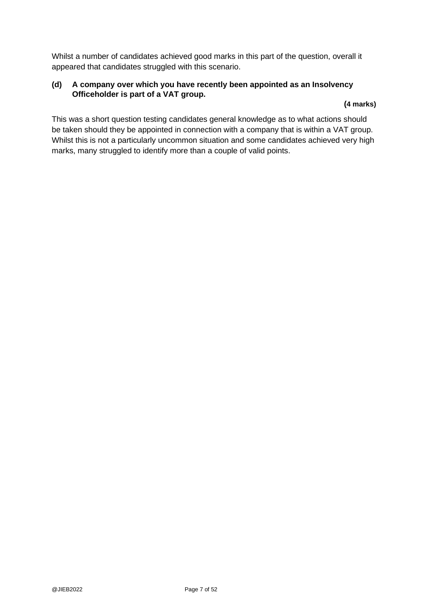Whilst a number of candidates achieved good marks in this part of the question, overall it appeared that candidates struggled with this scenario.

### **(d) A company over which you have recently been appointed as an Insolvency Officeholder is part of a VAT group.**

### **(4 marks)**

This was a short question testing candidates general knowledge as to what actions should be taken should they be appointed in connection with a company that is within a VAT group. Whilst this is not a particularly uncommon situation and some candidates achieved very high marks, many struggled to identify more than a couple of valid points.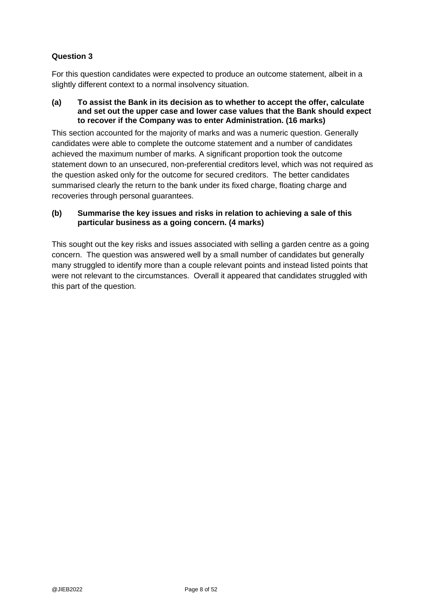### **Question 3**

For this question candidates were expected to produce an outcome statement, albeit in a slightly different context to a normal insolvency situation.

#### **(a) To assist the Bank in its decision as to whether to accept the offer, calculate and set out the upper case and lower case values that the Bank should expect to recover if the Company was to enter Administration. (16 marks)**

This section accounted for the majority of marks and was a numeric question. Generally candidates were able to complete the outcome statement and a number of candidates achieved the maximum number of marks. A significant proportion took the outcome statement down to an unsecured, non-preferential creditors level, which was not required as the question asked only for the outcome for secured creditors. The better candidates summarised clearly the return to the bank under its fixed charge, floating charge and recoveries through personal guarantees.

### **(b) Summarise the key issues and risks in relation to achieving a sale of this particular business as a going concern. (4 marks)**

This sought out the key risks and issues associated with selling a garden centre as a going concern. The question was answered well by a small number of candidates but generally many struggled to identify more than a couple relevant points and instead listed points that were not relevant to the circumstances. Overall it appeared that candidates struggled with this part of the question.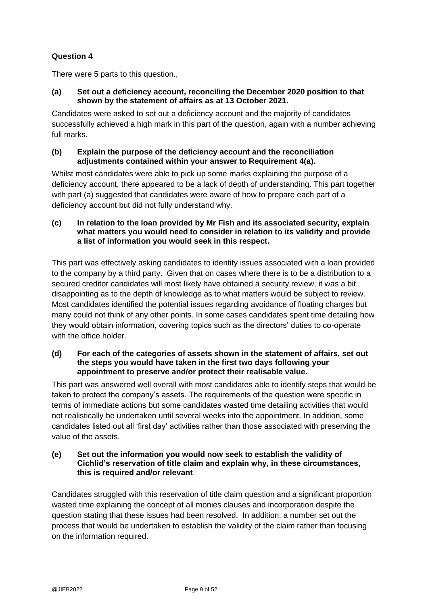### **Question 4**

There were 5 parts to this question.,

### **(a) Set out a deficiency account, reconciling the December 2020 position to that shown by the statement of affairs as at 13 October 2021.**

Candidates were asked to set out a deficiency account and the majority of candidates successfully achieved a high mark in this part of the question, again with a number achieving full marks.

#### **(b) Explain the purpose of the deficiency account and the reconciliation adjustments contained within your answer to Requirement 4(a).**

Whilst most candidates were able to pick up some marks explaining the purpose of a deficiency account, there appeared to be a lack of depth of understanding. This part together with part (a) suggested that candidates were aware of how to prepare each part of a deficiency account but did not fully understand why.

#### **(c) In relation to the loan provided by Mr Fish and its associated security, explain what matters you would need to consider in relation to its validity and provide a list of information you would seek in this respect.**

This part was effectively asking candidates to identify issues associated with a loan provided to the company by a third party. Given that on cases where there is to be a distribution to a secured creditor candidates will most likely have obtained a security review, it was a bit disappointing as to the depth of knowledge as to what matters would be subject to review. Most candidates identified the potential issues regarding avoidance of floating charges but many could not think of any other points. In some cases candidates spent time detailing how they would obtain information, covering topics such as the directors' duties to co-operate with the office holder.

#### **(d) For each of the categories of assets shown in the statement of affairs, set out the steps you would have taken in the first two days following your appointment to preserve and/or protect their realisable value.**

This part was answered well overall with most candidates able to identify steps that would be taken to protect the company's assets. The requirements of the question were specific in terms of immediate actions but some candidates wasted time detailing activities that would not realistically be undertaken until several weeks into the appointment. In addition, some candidates listed out all 'first day' activities rather than those associated with preserving the value of the assets.

### **(e) Set out the information you would now seek to establish the validity of Cichlid's reservation of title claim and explain why, in these circumstances, this is required and/or relevant**

Candidates struggled with this reservation of title claim question and a significant proportion wasted time explaining the concept of all monies clauses and incorporation despite the question stating that these issues had been resolved. In addition, a number set out the process that would be undertaken to establish the validity of the claim rather than focusing on the information required.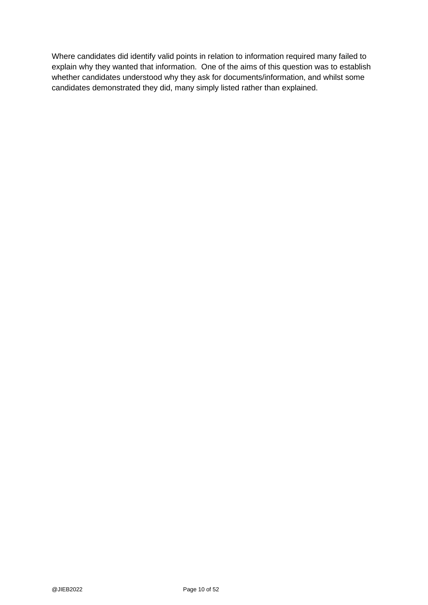Where candidates did identify valid points in relation to information required many failed to explain why they wanted that information. One of the aims of this question was to establish whether candidates understood why they ask for documents/information, and whilst some candidates demonstrated they did, many simply listed rather than explained.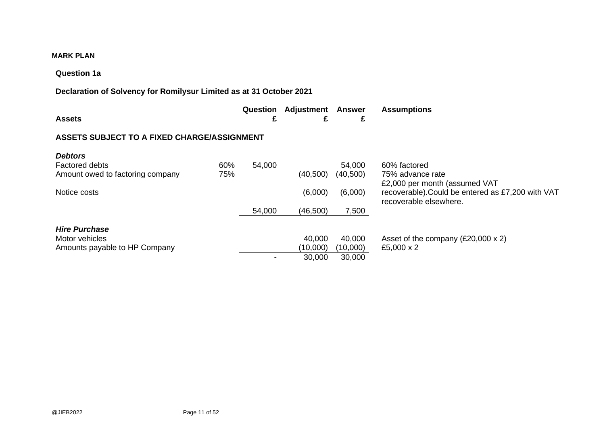### **MARK PLAN**

#### **Question 1a**

### **Declaration of Solvency for Romilysur Limited as at 31 October 2021**

|               |  | Question Adjustment Answer Assumptions |
|---------------|--|----------------------------------------|
| <b>Assets</b> |  |                                        |

### **ASSETS SUBJECT TO A FIXED CHARGE/ASSIGNMENT**

| <b>Debtors</b>                   |     |        |           |           |                                                                                                              |
|----------------------------------|-----|--------|-----------|-----------|--------------------------------------------------------------------------------------------------------------|
| <b>Factored debts</b>            | 60% | 54,000 |           | 54,000    | 60% factored                                                                                                 |
| Amount owed to factoring company | 75% |        | (40, 500) | (40, 500) | 75% advance rate                                                                                             |
| Notice costs                     |     |        | (6,000)   | (6,000)   | £2,000 per month (assumed VAT<br>recoverable). Could be entered as £7,200 with VAT<br>recoverable elsewhere. |
|                                  |     | 54,000 | (46, 500) | 7,500     |                                                                                                              |
| <b>Hire Purchase</b>             |     |        |           |           |                                                                                                              |
| Motor vehicles                   |     |        | 40,000    | 40,000    | Asset of the company $(E20,000 \times 2)$                                                                    |
| Amounts payable to HP Company    |     |        | (10,000)  | (10,000)  | £5,000 x 2                                                                                                   |
|                                  |     |        | 30,000    | 30,000    |                                                                                                              |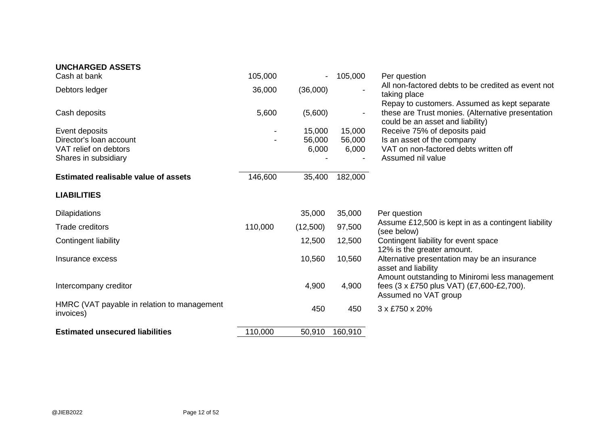| <b>UNCHARGED ASSETS</b>                                  |         |                |                          |                                                                                                                     |
|----------------------------------------------------------|---------|----------------|--------------------------|---------------------------------------------------------------------------------------------------------------------|
| Cash at bank                                             | 105,000 | $\blacksquare$ | 105,000                  | Per question                                                                                                        |
| Debtors ledger                                           | 36,000  | (36,000)       | $\blacksquare$           | All non-factored debts to be credited as event not<br>taking place<br>Repay to customers. Assumed as kept separate  |
| Cash deposits                                            | 5,600   | (5,600)        | $\overline{\phantom{a}}$ | these are Trust monies. (Alternative presentation<br>could be an asset and liability)                               |
| Event deposits                                           |         | 15,000         | 15,000                   | Receive 75% of deposits paid                                                                                        |
| Director's loan account                                  |         | 56,000         | 56,000                   | Is an asset of the company                                                                                          |
| VAT relief on debtors                                    |         | 6,000          | 6,000                    | VAT on non-factored debts written off                                                                               |
| Shares in subsidiary                                     |         |                |                          | Assumed nil value                                                                                                   |
| <b>Estimated realisable value of assets</b>              | 146,600 | 35,400         | 182,000                  |                                                                                                                     |
| <b>LIABILITIES</b>                                       |         |                |                          |                                                                                                                     |
| <b>Dilapidations</b>                                     |         | 35,000         | 35,000                   | Per question                                                                                                        |
| <b>Trade creditors</b>                                   | 110,000 | (12,500)       | 97,500                   | Assume £12,500 is kept in as a contingent liability<br>(see below)                                                  |
| Contingent liability                                     |         | 12,500         | 12,500                   | Contingent liability for event space<br>12% is the greater amount.                                                  |
| Insurance excess                                         |         | 10,560         | 10,560                   | Alternative presentation may be an insurance<br>asset and liability                                                 |
| Intercompany creditor                                    |         | 4,900          | 4,900                    | Amount outstanding to Miniromi less management<br>fees (3 x £750 plus VAT) (£7,600-£2,700).<br>Assumed no VAT group |
| HMRC (VAT payable in relation to management<br>invoices) |         | 450            | 450                      | 3 x £750 x 20%                                                                                                      |
| <b>Estimated unsecured liabilities</b>                   | 110,000 | 50,910         | 160,910                  |                                                                                                                     |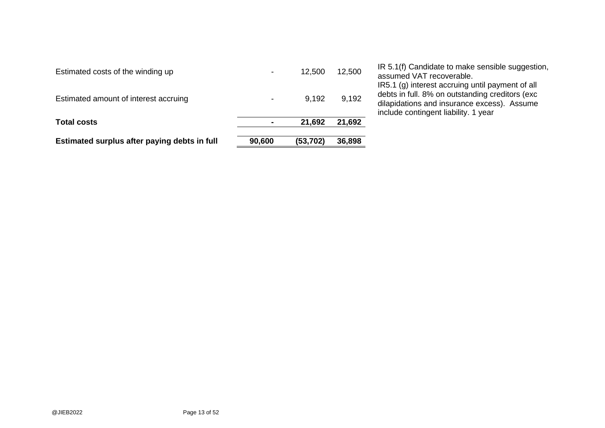| Estimated surplus after paying debts in full | 90,600 | (53, 702) | 36,898 |                                                                                                                                                                                             |
|----------------------------------------------|--------|-----------|--------|---------------------------------------------------------------------------------------------------------------------------------------------------------------------------------------------|
| <b>Total costs</b>                           |        | 21,692    | 21,692 |                                                                                                                                                                                             |
| Estimated amount of interest accruing        |        | 9,192     | 9,192  | IR5.1 (g) interest accruing until payment of all<br>debts in full. 8% on outstanding creditors (exc.<br>dilapidations and insurance excess). Assume<br>include contingent liability. 1 year |
| Estimated costs of the winding up            |        | 12.500    | 12,500 | IR 5.1(f) Candidate to make sensible suggestion,<br>assumed VAT recoverable.                                                                                                                |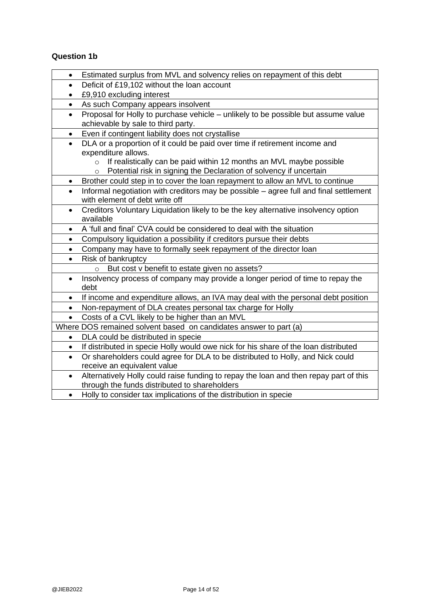# **Question 1b**

| Deficit of £19,102 without the loan account<br>$\bullet$<br>£9,910 excluding interest<br>As such Company appears insolvent<br>$\bullet$<br>Proposal for Holly to purchase vehicle - unlikely to be possible but assume value<br>$\bullet$<br>achievable by sale to third party.<br>Even if contingent liability does not crystallise<br>$\bullet$<br>DLA or a proportion of it could be paid over time if retirement income and<br>$\bullet$<br>expenditure allows.<br>If realistically can be paid within 12 months an MVL maybe possible<br>$\circ$<br>Potential risk in signing the Declaration of solvency if uncertain<br>$\circ$<br>Brother could step in to cover the loan repayment to allow an MVL to continue<br>$\bullet$<br>Informal negotiation with creditors may be possible - agree full and final settlement<br>$\bullet$<br>with element of debt write off<br>Creditors Voluntary Liquidation likely to be the key alternative insolvency option<br>$\bullet$<br>available<br>A 'full and final' CVA could be considered to deal with the situation<br>$\bullet$<br>Compulsory liquidation a possibility if creditors pursue their debts<br>$\bullet$<br>Company may have to formally seek repayment of the director loan<br>$\bullet$<br>Risk of bankruptcy<br>$\bullet$<br>But cost v benefit to estate given no assets?<br>$\circ$<br>Insolvency process of company may provide a longer period of time to repay the<br>$\bullet$<br>debt<br>If income and expenditure allows, an IVA may deal with the personal debt position<br>$\bullet$<br>Non-repayment of DLA creates personal tax charge for Holly<br>$\bullet$<br>Costs of a CVL likely to be higher than an MVL<br>$\bullet$<br>Where DOS remained solvent based on candidates answer to part (a)<br>DLA could be distributed in specie<br>$\bullet$<br>If distributed in specie Holly would owe nick for his share of the loan distributed<br>$\bullet$<br>Or shareholders could agree for DLA to be distributed to Holly, and Nick could<br>$\bullet$<br>receive an equivalent value<br>Alternatively Holly could raise funding to repay the loan and then repay part of this<br>through the funds distributed to shareholders | $\bullet$ | Estimated surplus from MVL and solvency relies on repayment of this debt |
|----------------------------------------------------------------------------------------------------------------------------------------------------------------------------------------------------------------------------------------------------------------------------------------------------------------------------------------------------------------------------------------------------------------------------------------------------------------------------------------------------------------------------------------------------------------------------------------------------------------------------------------------------------------------------------------------------------------------------------------------------------------------------------------------------------------------------------------------------------------------------------------------------------------------------------------------------------------------------------------------------------------------------------------------------------------------------------------------------------------------------------------------------------------------------------------------------------------------------------------------------------------------------------------------------------------------------------------------------------------------------------------------------------------------------------------------------------------------------------------------------------------------------------------------------------------------------------------------------------------------------------------------------------------------------------------------------------------------------------------------------------------------------------------------------------------------------------------------------------------------------------------------------------------------------------------------------------------------------------------------------------------------------------------------------------------------------------------------------------------------------------------------------------------------------------------------------------------|-----------|--------------------------------------------------------------------------|
|                                                                                                                                                                                                                                                                                                                                                                                                                                                                                                                                                                                                                                                                                                                                                                                                                                                                                                                                                                                                                                                                                                                                                                                                                                                                                                                                                                                                                                                                                                                                                                                                                                                                                                                                                                                                                                                                                                                                                                                                                                                                                                                                                                                                                |           |                                                                          |
|                                                                                                                                                                                                                                                                                                                                                                                                                                                                                                                                                                                                                                                                                                                                                                                                                                                                                                                                                                                                                                                                                                                                                                                                                                                                                                                                                                                                                                                                                                                                                                                                                                                                                                                                                                                                                                                                                                                                                                                                                                                                                                                                                                                                                |           |                                                                          |
|                                                                                                                                                                                                                                                                                                                                                                                                                                                                                                                                                                                                                                                                                                                                                                                                                                                                                                                                                                                                                                                                                                                                                                                                                                                                                                                                                                                                                                                                                                                                                                                                                                                                                                                                                                                                                                                                                                                                                                                                                                                                                                                                                                                                                |           |                                                                          |
|                                                                                                                                                                                                                                                                                                                                                                                                                                                                                                                                                                                                                                                                                                                                                                                                                                                                                                                                                                                                                                                                                                                                                                                                                                                                                                                                                                                                                                                                                                                                                                                                                                                                                                                                                                                                                                                                                                                                                                                                                                                                                                                                                                                                                |           |                                                                          |
|                                                                                                                                                                                                                                                                                                                                                                                                                                                                                                                                                                                                                                                                                                                                                                                                                                                                                                                                                                                                                                                                                                                                                                                                                                                                                                                                                                                                                                                                                                                                                                                                                                                                                                                                                                                                                                                                                                                                                                                                                                                                                                                                                                                                                |           |                                                                          |
|                                                                                                                                                                                                                                                                                                                                                                                                                                                                                                                                                                                                                                                                                                                                                                                                                                                                                                                                                                                                                                                                                                                                                                                                                                                                                                                                                                                                                                                                                                                                                                                                                                                                                                                                                                                                                                                                                                                                                                                                                                                                                                                                                                                                                |           |                                                                          |
|                                                                                                                                                                                                                                                                                                                                                                                                                                                                                                                                                                                                                                                                                                                                                                                                                                                                                                                                                                                                                                                                                                                                                                                                                                                                                                                                                                                                                                                                                                                                                                                                                                                                                                                                                                                                                                                                                                                                                                                                                                                                                                                                                                                                                |           |                                                                          |
|                                                                                                                                                                                                                                                                                                                                                                                                                                                                                                                                                                                                                                                                                                                                                                                                                                                                                                                                                                                                                                                                                                                                                                                                                                                                                                                                                                                                                                                                                                                                                                                                                                                                                                                                                                                                                                                                                                                                                                                                                                                                                                                                                                                                                |           |                                                                          |
|                                                                                                                                                                                                                                                                                                                                                                                                                                                                                                                                                                                                                                                                                                                                                                                                                                                                                                                                                                                                                                                                                                                                                                                                                                                                                                                                                                                                                                                                                                                                                                                                                                                                                                                                                                                                                                                                                                                                                                                                                                                                                                                                                                                                                |           |                                                                          |
|                                                                                                                                                                                                                                                                                                                                                                                                                                                                                                                                                                                                                                                                                                                                                                                                                                                                                                                                                                                                                                                                                                                                                                                                                                                                                                                                                                                                                                                                                                                                                                                                                                                                                                                                                                                                                                                                                                                                                                                                                                                                                                                                                                                                                |           |                                                                          |
|                                                                                                                                                                                                                                                                                                                                                                                                                                                                                                                                                                                                                                                                                                                                                                                                                                                                                                                                                                                                                                                                                                                                                                                                                                                                                                                                                                                                                                                                                                                                                                                                                                                                                                                                                                                                                                                                                                                                                                                                                                                                                                                                                                                                                |           |                                                                          |
|                                                                                                                                                                                                                                                                                                                                                                                                                                                                                                                                                                                                                                                                                                                                                                                                                                                                                                                                                                                                                                                                                                                                                                                                                                                                                                                                                                                                                                                                                                                                                                                                                                                                                                                                                                                                                                                                                                                                                                                                                                                                                                                                                                                                                |           |                                                                          |
|                                                                                                                                                                                                                                                                                                                                                                                                                                                                                                                                                                                                                                                                                                                                                                                                                                                                                                                                                                                                                                                                                                                                                                                                                                                                                                                                                                                                                                                                                                                                                                                                                                                                                                                                                                                                                                                                                                                                                                                                                                                                                                                                                                                                                |           |                                                                          |
|                                                                                                                                                                                                                                                                                                                                                                                                                                                                                                                                                                                                                                                                                                                                                                                                                                                                                                                                                                                                                                                                                                                                                                                                                                                                                                                                                                                                                                                                                                                                                                                                                                                                                                                                                                                                                                                                                                                                                                                                                                                                                                                                                                                                                |           |                                                                          |
|                                                                                                                                                                                                                                                                                                                                                                                                                                                                                                                                                                                                                                                                                                                                                                                                                                                                                                                                                                                                                                                                                                                                                                                                                                                                                                                                                                                                                                                                                                                                                                                                                                                                                                                                                                                                                                                                                                                                                                                                                                                                                                                                                                                                                |           |                                                                          |
|                                                                                                                                                                                                                                                                                                                                                                                                                                                                                                                                                                                                                                                                                                                                                                                                                                                                                                                                                                                                                                                                                                                                                                                                                                                                                                                                                                                                                                                                                                                                                                                                                                                                                                                                                                                                                                                                                                                                                                                                                                                                                                                                                                                                                |           |                                                                          |
|                                                                                                                                                                                                                                                                                                                                                                                                                                                                                                                                                                                                                                                                                                                                                                                                                                                                                                                                                                                                                                                                                                                                                                                                                                                                                                                                                                                                                                                                                                                                                                                                                                                                                                                                                                                                                                                                                                                                                                                                                                                                                                                                                                                                                |           |                                                                          |
|                                                                                                                                                                                                                                                                                                                                                                                                                                                                                                                                                                                                                                                                                                                                                                                                                                                                                                                                                                                                                                                                                                                                                                                                                                                                                                                                                                                                                                                                                                                                                                                                                                                                                                                                                                                                                                                                                                                                                                                                                                                                                                                                                                                                                |           |                                                                          |
|                                                                                                                                                                                                                                                                                                                                                                                                                                                                                                                                                                                                                                                                                                                                                                                                                                                                                                                                                                                                                                                                                                                                                                                                                                                                                                                                                                                                                                                                                                                                                                                                                                                                                                                                                                                                                                                                                                                                                                                                                                                                                                                                                                                                                |           |                                                                          |
|                                                                                                                                                                                                                                                                                                                                                                                                                                                                                                                                                                                                                                                                                                                                                                                                                                                                                                                                                                                                                                                                                                                                                                                                                                                                                                                                                                                                                                                                                                                                                                                                                                                                                                                                                                                                                                                                                                                                                                                                                                                                                                                                                                                                                |           |                                                                          |
|                                                                                                                                                                                                                                                                                                                                                                                                                                                                                                                                                                                                                                                                                                                                                                                                                                                                                                                                                                                                                                                                                                                                                                                                                                                                                                                                                                                                                                                                                                                                                                                                                                                                                                                                                                                                                                                                                                                                                                                                                                                                                                                                                                                                                |           |                                                                          |
|                                                                                                                                                                                                                                                                                                                                                                                                                                                                                                                                                                                                                                                                                                                                                                                                                                                                                                                                                                                                                                                                                                                                                                                                                                                                                                                                                                                                                                                                                                                                                                                                                                                                                                                                                                                                                                                                                                                                                                                                                                                                                                                                                                                                                |           |                                                                          |
|                                                                                                                                                                                                                                                                                                                                                                                                                                                                                                                                                                                                                                                                                                                                                                                                                                                                                                                                                                                                                                                                                                                                                                                                                                                                                                                                                                                                                                                                                                                                                                                                                                                                                                                                                                                                                                                                                                                                                                                                                                                                                                                                                                                                                |           |                                                                          |
|                                                                                                                                                                                                                                                                                                                                                                                                                                                                                                                                                                                                                                                                                                                                                                                                                                                                                                                                                                                                                                                                                                                                                                                                                                                                                                                                                                                                                                                                                                                                                                                                                                                                                                                                                                                                                                                                                                                                                                                                                                                                                                                                                                                                                |           |                                                                          |
|                                                                                                                                                                                                                                                                                                                                                                                                                                                                                                                                                                                                                                                                                                                                                                                                                                                                                                                                                                                                                                                                                                                                                                                                                                                                                                                                                                                                                                                                                                                                                                                                                                                                                                                                                                                                                                                                                                                                                                                                                                                                                                                                                                                                                |           |                                                                          |
|                                                                                                                                                                                                                                                                                                                                                                                                                                                                                                                                                                                                                                                                                                                                                                                                                                                                                                                                                                                                                                                                                                                                                                                                                                                                                                                                                                                                                                                                                                                                                                                                                                                                                                                                                                                                                                                                                                                                                                                                                                                                                                                                                                                                                |           |                                                                          |
|                                                                                                                                                                                                                                                                                                                                                                                                                                                                                                                                                                                                                                                                                                                                                                                                                                                                                                                                                                                                                                                                                                                                                                                                                                                                                                                                                                                                                                                                                                                                                                                                                                                                                                                                                                                                                                                                                                                                                                                                                                                                                                                                                                                                                |           |                                                                          |
|                                                                                                                                                                                                                                                                                                                                                                                                                                                                                                                                                                                                                                                                                                                                                                                                                                                                                                                                                                                                                                                                                                                                                                                                                                                                                                                                                                                                                                                                                                                                                                                                                                                                                                                                                                                                                                                                                                                                                                                                                                                                                                                                                                                                                |           |                                                                          |
|                                                                                                                                                                                                                                                                                                                                                                                                                                                                                                                                                                                                                                                                                                                                                                                                                                                                                                                                                                                                                                                                                                                                                                                                                                                                                                                                                                                                                                                                                                                                                                                                                                                                                                                                                                                                                                                                                                                                                                                                                                                                                                                                                                                                                |           |                                                                          |
|                                                                                                                                                                                                                                                                                                                                                                                                                                                                                                                                                                                                                                                                                                                                                                                                                                                                                                                                                                                                                                                                                                                                                                                                                                                                                                                                                                                                                                                                                                                                                                                                                                                                                                                                                                                                                                                                                                                                                                                                                                                                                                                                                                                                                | $\bullet$ | Holly to consider tax implications of the distribution in specie         |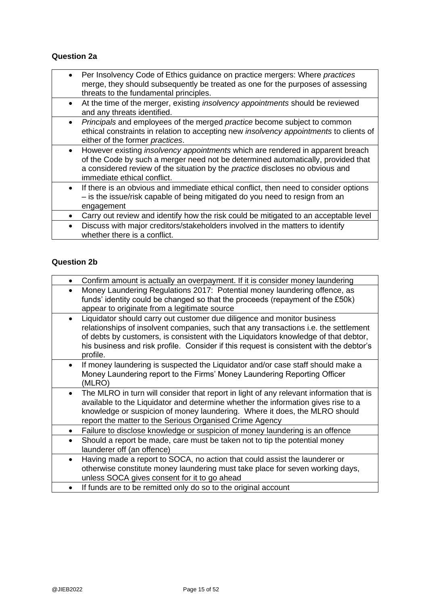### **Question 2a**

- Per Insolvency Code of Ethics guidance on practice mergers: Where *practices* merge, they should subsequently be treated as one for the purposes of assessing threats to the fundamental principles.
- At the time of the merger, existing *insolvency appointments* should be reviewed and any threats identified.
- *Principals* and employees of the merged *practice* become subject to common ethical constraints in relation to accepting new *insolvency appointments* to clients of either of the former *practices*.
- However existing *insolvency appointments* which are rendered in apparent breach of the Code by such a merger need not be determined automatically, provided that a considered review of the situation by the *practice* discloses no obvious and immediate ethical conflict.
- If there is an obvious and immediate ethical conflict, then need to consider options – is the issue/risk capable of being mitigated do you need to resign from an engagement
- Carry out review and identify how the risk could be mitigated to an acceptable level
- Discuss with major creditors/stakeholders involved in the matters to identify whether there is a conflict.

#### **Question 2b**

|           | Confirm amount is actually an overpayment. If it is consider money laundering                                                                                                                                                                                                                                                                                 |
|-----------|---------------------------------------------------------------------------------------------------------------------------------------------------------------------------------------------------------------------------------------------------------------------------------------------------------------------------------------------------------------|
|           | Money Laundering Regulations 2017: Potential money laundering offence, as<br>funds' identity could be changed so that the proceeds (repayment of the £50k)<br>appear to originate from a legitimate source                                                                                                                                                    |
|           | Liquidator should carry out customer due diligence and monitor business<br>relationships of insolvent companies, such that any transactions i.e. the settlement<br>of debts by customers, is consistent with the Liquidators knowledge of that debtor,<br>his business and risk profile. Consider if this request is consistent with the debtor's<br>profile. |
| $\bullet$ | If money laundering is suspected the Liquidator and/or case staff should make a<br>Money Laundering report to the Firms' Money Laundering Reporting Officer<br>(MLRO)                                                                                                                                                                                         |
| $\bullet$ | The MLRO in turn will consider that report in light of any relevant information that is<br>available to the Liquidator and determine whether the information gives rise to a<br>knowledge or suspicion of money laundering. Where it does, the MLRO should<br>report the matter to the Serious Organised Crime Agency                                         |
| $\bullet$ | Failure to disclose knowledge or suspicion of money laundering is an offence                                                                                                                                                                                                                                                                                  |
| $\bullet$ | Should a report be made, care must be taken not to tip the potential money<br>launderer off (an offence)                                                                                                                                                                                                                                                      |
| $\bullet$ | Having made a report to SOCA, no action that could assist the launderer or<br>otherwise constitute money laundering must take place for seven working days,<br>unless SOCA gives consent for it to go ahead                                                                                                                                                   |
|           | If funds are to be remitted only do so to the original account                                                                                                                                                                                                                                                                                                |
|           |                                                                                                                                                                                                                                                                                                                                                               |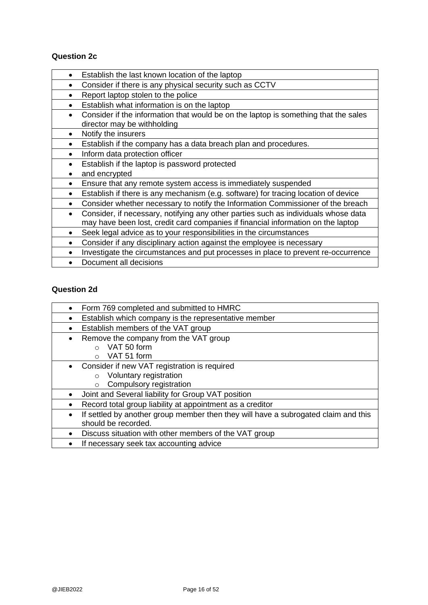### **Question 2c**

- Establish the last known location of the laptop
- Consider if there is any physical security such as CCTV
- Report laptop stolen to the police
- Establish what information is on the laptop
- Consider if the information that would be on the laptop is something that the sales director may be withholding
- Notify the insurers
- Establish if the company has a data breach plan and procedures.
- Inform data protection officer
- Establish if the laptop is password protected
- and encrypted
- Ensure that any remote system access is immediately suspended
- Establish if there is any mechanism (e.g. software) for tracing location of device
- Consider whether necessary to notify the Information Commissioner of the breach
- Consider, if necessary, notifying any other parties such as individuals whose data may have been lost, credit card companies if financial information on the laptop
- Seek legal advice as to your responsibilities in the circumstances
- Consider if any disciplinary action against the employee is necessary
- Investigate the circumstances and put processes in place to prevent re-occurrence
- Document all decisions

### **Question 2d**

| Form 769 completed and submitted to HMRC<br>$\bullet$                                   |
|-----------------------------------------------------------------------------------------|
| Establish which company is the representative member                                    |
| Establish members of the VAT group<br>$\bullet$                                         |
| Remove the company from the VAT group<br>٠                                              |
| VAT 50 form<br>$\bigcap$                                                                |
| VAT 51 form<br>$\Omega$                                                                 |
| Consider if new VAT registration is required                                            |
| Voluntary registration<br>$\circ$                                                       |
| Compulsory registration<br>$\circ$                                                      |
| Joint and Several liability for Group VAT position                                      |
| Record total group liability at appointment as a creditor                               |
| If settled by another group member then they will have a subrogated claim and this<br>٠ |
| should be recorded.                                                                     |
| Discuss situation with other members of the VAT group                                   |
| If necessary seek tax accounting advice                                                 |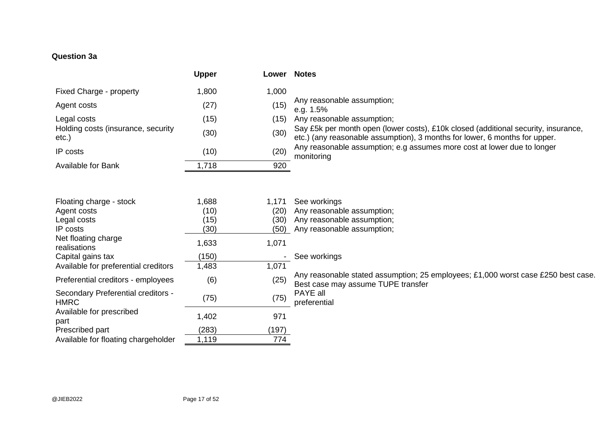## **Question 3a**

|                                             | <b>Upper</b> | Lower | <b>Notes</b>                                                                                                                                                     |
|---------------------------------------------|--------------|-------|------------------------------------------------------------------------------------------------------------------------------------------------------------------|
| Fixed Charge - property                     | 1,800        | 1,000 |                                                                                                                                                                  |
| Agent costs                                 | (27)         | (15)  | Any reasonable assumption;<br>e.g. 1.5%                                                                                                                          |
| Legal costs                                 | (15)         | (15)  | Any reasonable assumption;                                                                                                                                       |
| Holding costs (insurance, security<br>etc.) | (30)         | (30)  | Say £5k per month open (lower costs), £10k closed (additional security, insurance,<br>etc.) (any reasonable assumption), 3 months for lower, 6 months for upper. |
| IP costs                                    | (10)         | (20)  | Any reasonable assumption; e.g assumes more cost at lower due to longer<br>monitoring                                                                            |
| <b>Available for Bank</b>                   | 1,718        | 920   |                                                                                                                                                                  |
|                                             |              |       |                                                                                                                                                                  |
| Floating charge - stock                     | 1,688        | 1,171 | See workings                                                                                                                                                     |
| Agent costs                                 | (10)         | (20)  | Any reasonable assumption;                                                                                                                                       |
| Legal costs                                 | (15)         | (30)  | Any reasonable assumption;                                                                                                                                       |
| IP costs                                    | (30)         | (50)  | Any reasonable assumption;                                                                                                                                       |

|       | (20)  | Any reasonable assumption;                                                                                              |
|-------|-------|-------------------------------------------------------------------------------------------------------------------------|
| (15)  | (30)  | Any reasonable assumption;                                                                                              |
| (30)  | (50)  | Any reasonable assumption;                                                                                              |
| 1,633 | 1,071 |                                                                                                                         |
| (150) |       | See workings                                                                                                            |
| 1,483 | 1,071 |                                                                                                                         |
| (6)   | (25)  | Any reasonable stated assumption; 25 employees; £1,000 worst case £250 best case.<br>Best case may assume TUPE transfer |
| (75)  | (75)  | PAYE all<br>preferential                                                                                                |
| 1,402 | 971   |                                                                                                                         |
| (283) | (197) |                                                                                                                         |
| 1,119 | 774   |                                                                                                                         |
|       | (10)  |                                                                                                                         |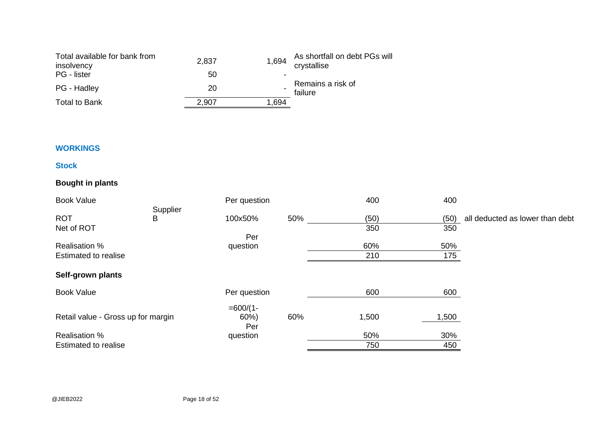| Total available for bank from<br>insolvency | 2,837 | 1,694 | As shortfall on debt PGs will<br>crystallise |
|---------------------------------------------|-------|-------|----------------------------------------------|
| PG - lister                                 | 50    | ٠     |                                              |
| PG - Hadley                                 | 20    |       | Remains a risk of<br>failure                 |
| <b>Total to Bank</b>                        | 2,907 | 1.694 |                                              |

### **WORKINGS**

### **Stock**

## **Bought in plants**

| <b>Book Value</b>                  |          | Per question |     | 400   | 400   |                                 |
|------------------------------------|----------|--------------|-----|-------|-------|---------------------------------|
|                                    | Supplier |              |     |       |       |                                 |
| <b>ROT</b>                         | B        | 100x50%      | 50% | (50)  | (50)  | all deducted as lower than debt |
| Net of ROT                         |          |              |     | 350   | 350   |                                 |
|                                    |          | Per          |     |       |       |                                 |
| <b>Realisation %</b>               |          | question     |     | 60%   | 50%   |                                 |
| <b>Estimated to realise</b>        |          |              |     | 210   | 175   |                                 |
| Self-grown plants                  |          |              |     |       |       |                                 |
| <b>Book Value</b>                  |          | Per question |     | 600   | 600   |                                 |
|                                    |          | $=600/(1-$   |     |       |       |                                 |
| Retail value - Gross up for margin |          | 60%<br>Per   | 60% | 1,500 | 1,500 |                                 |
| <b>Realisation %</b>               |          | question     |     | 50%   | 30%   |                                 |
| <b>Estimated to realise</b>        |          |              |     | 750   | 450   |                                 |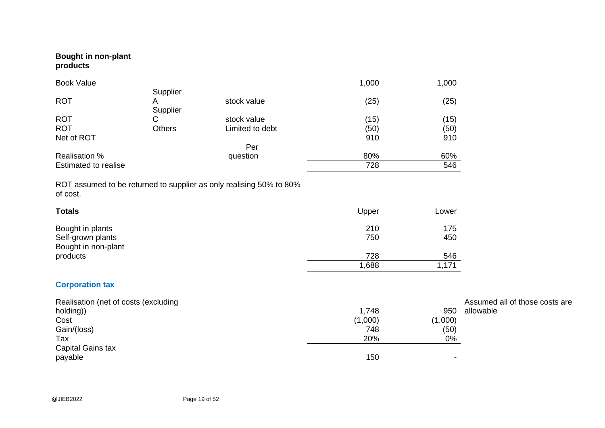### **Bought in non-plant products**

| <b>Book Value</b>           |               |                 | 1,000 | 1,000 |
|-----------------------------|---------------|-----------------|-------|-------|
|                             | Supplier      |                 |       |       |
| <b>ROT</b>                  | Α             | stock value     | (25)  | (25)  |
|                             | Supplier      |                 |       |       |
| <b>ROT</b>                  | С             | stock value     | (15)  | (15)  |
| <b>ROT</b>                  | <b>Others</b> | Limited to debt | (50)  | (50)  |
| Net of ROT                  |               |                 | 910   | 910   |
|                             |               | Per             |       |       |
| <b>Realisation %</b>        |               | question        | 80%   | 60%   |
| <b>Estimated to realise</b> |               |                 | 728   | 546   |

ROT assumed to be returned to supplier as only realising 50% to 80% of cost.

| <b>Totals</b>                                                | Upper      | Lower      |
|--------------------------------------------------------------|------------|------------|
| Bought in plants<br>Self-grown plants<br>Bought in non-plant | 210<br>750 | 175<br>450 |
| products                                                     | 728        | 546        |
|                                                              | 1,688      | 1,171      |

## **Corporation tax**

| Realisation (net of costs (excluding |         |         | Assumed all of those costs are |
|--------------------------------------|---------|---------|--------------------------------|
| holding))                            | 1,748   | 950     | allowable                      |
| Cost                                 | (1,000) | (1,000) |                                |
| Gain/(loss)                          | 748     | (50)    |                                |
| Tax                                  | 20%     | 0%      |                                |
| Capital Gains tax                    |         |         |                                |
| payable                              | 150     |         |                                |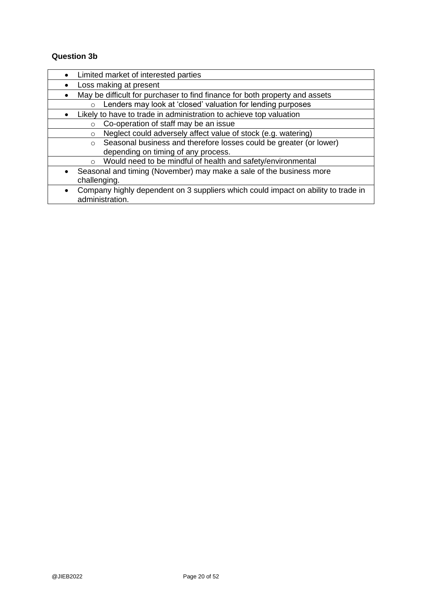### **Question 3b**

| Limited market of interested parties<br>$\bullet$                                              |
|------------------------------------------------------------------------------------------------|
| Loss making at present                                                                         |
| May be difficult for purchaser to find finance for both property and assets<br>$\bullet$       |
| Lenders may look at 'closed' valuation for lending purposes<br>$\circ$                         |
| Likely to have to trade in administration to achieve top valuation                             |
| Co-operation of staff may be an issue<br>$\Omega$                                              |
| Neglect could adversely affect value of stock (e.g. watering)<br>$\circ$                       |
| Seasonal business and therefore losses could be greater (or lower)<br>$\circ$                  |
| depending on timing of any process.                                                            |
| Would need to be mindful of health and safety/environmental<br>$\circ$                         |
| Seasonal and timing (November) may make a sale of the business more<br>$\bullet$               |
| challenging.                                                                                   |
| Company highly dependent on 3 suppliers which could impact on ability to trade in<br>$\bullet$ |
| administration.                                                                                |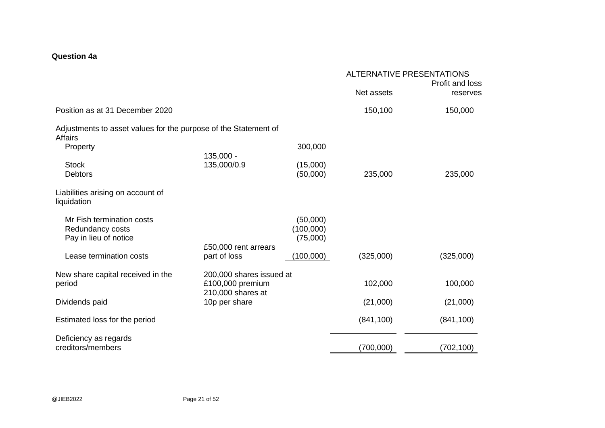### **Question 4a**

|                                                                                   |                                                                   |                                   | <b>ALTERNATIVE PRESENTATIONS</b><br>Profit and loss |            |
|-----------------------------------------------------------------------------------|-------------------------------------------------------------------|-----------------------------------|-----------------------------------------------------|------------|
|                                                                                   |                                                                   |                                   | Net assets                                          | reserves   |
| Position as at 31 December 2020                                                   |                                                                   |                                   | 150,100                                             | 150,000    |
| Adjustments to asset values for the purpose of the Statement of<br><b>Affairs</b> |                                                                   |                                   |                                                     |            |
| Property                                                                          | 135,000 -                                                         | 300,000                           |                                                     |            |
| <b>Stock</b><br><b>Debtors</b>                                                    | 135,000/0.9                                                       | (15,000)<br>(50,000)              | 235,000                                             | 235,000    |
| Liabilities arising on account of<br>liquidation                                  |                                                                   |                                   |                                                     |            |
| Mr Fish termination costs<br>Redundancy costs<br>Pay in lieu of notice            | £50,000 rent arrears                                              | (50,000)<br>(100,000)<br>(75,000) |                                                     |            |
| Lease termination costs                                                           | part of loss                                                      | (100,000)                         | (325,000)                                           | (325,000)  |
| New share capital received in the<br>period                                       | 200,000 shares issued at<br>£100,000 premium<br>210,000 shares at |                                   | 102,000                                             | 100,000    |
| Dividends paid                                                                    | 10p per share                                                     |                                   | (21,000)                                            | (21,000)   |
| Estimated loss for the period                                                     |                                                                   |                                   | (841, 100)                                          | (841, 100) |
| Deficiency as regards<br>creditors/members                                        |                                                                   |                                   | (700,000)                                           | (702, 100) |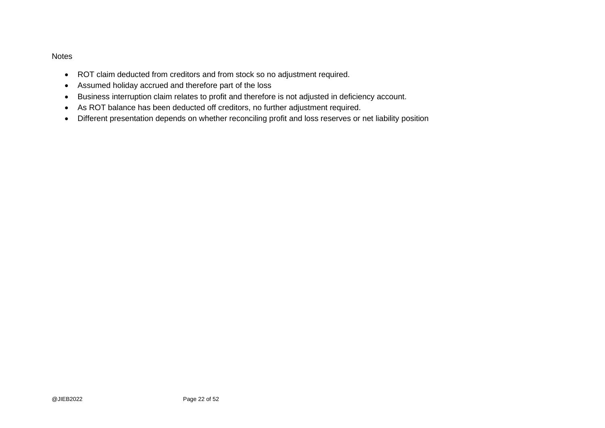#### Notes

- ROT claim deducted from creditors and from stock so no adjustment required.
- Assumed holiday accrued and therefore part of the loss
- Business interruption claim relates to profit and therefore is not adjusted in deficiency account.
- As ROT balance has been deducted off creditors, no further adjustment required.
- Different presentation depends on whether reconciling profit and loss reserves or net liability position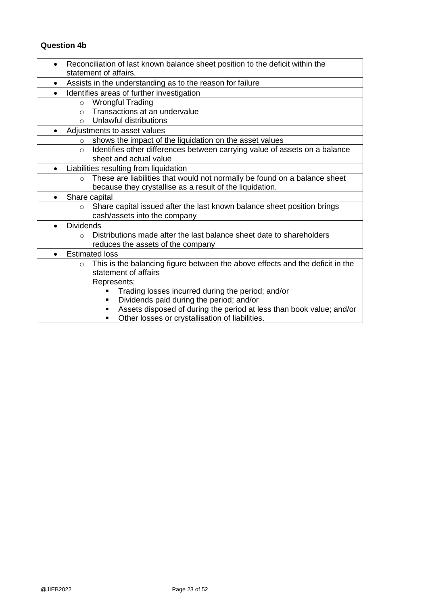## **Question 4b**

|           | Reconciliation of last known balance sheet position to the deficit within the |                                                                               |  |  |
|-----------|-------------------------------------------------------------------------------|-------------------------------------------------------------------------------|--|--|
|           | statement of affairs.                                                         |                                                                               |  |  |
| $\bullet$ | Assists in the understanding as to the reason for failure                     |                                                                               |  |  |
|           |                                                                               | Identifies areas of further investigation                                     |  |  |
|           | $\circ$                                                                       | <b>Wrongful Trading</b>                                                       |  |  |
|           | $\Omega$                                                                      | Transactions at an undervalue                                                 |  |  |
|           | $\circ$                                                                       | Unlawful distributions                                                        |  |  |
|           |                                                                               | Adjustments to asset values                                                   |  |  |
|           | $\circ$                                                                       | shows the impact of the liquidation on the asset values                       |  |  |
|           | $\circ$                                                                       | Identifies other differences between carrying value of assets on a balance    |  |  |
|           |                                                                               | sheet and actual value                                                        |  |  |
| $\bullet$ |                                                                               | Liabilities resulting from liquidation                                        |  |  |
|           | $\circ$                                                                       | These are liabilities that would not normally be found on a balance sheet     |  |  |
|           |                                                                               | because they crystallise as a result of the liquidation.                      |  |  |
| $\bullet$ |                                                                               | Share capital                                                                 |  |  |
|           | $\circ$                                                                       | Share capital issued after the last known balance sheet position brings       |  |  |
|           |                                                                               | cash/assets into the company                                                  |  |  |
| $\bullet$ | <b>Dividends</b>                                                              |                                                                               |  |  |
|           | $\cap$                                                                        | Distributions made after the last balance sheet date to shareholders          |  |  |
|           |                                                                               | reduces the assets of the company                                             |  |  |
| $\bullet$ |                                                                               | <b>Estimated loss</b>                                                         |  |  |
|           | $\circ$                                                                       | This is the balancing figure between the above effects and the deficit in the |  |  |
|           |                                                                               | statement of affairs                                                          |  |  |
|           |                                                                               | Represents;                                                                   |  |  |
|           |                                                                               | Trading losses incurred during the period; and/or                             |  |  |
|           |                                                                               | Dividends paid during the period; and/or<br>٠                                 |  |  |
|           |                                                                               | Assets disposed of during the period at less than book value; and/or          |  |  |
|           |                                                                               | Other losses or crystallisation of liabilities.                               |  |  |
|           |                                                                               |                                                                               |  |  |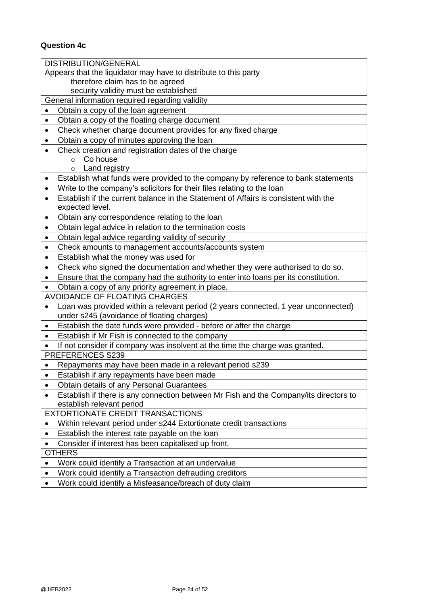# **Question 4c**

| <b>DISTRIBUTION/GENERAL</b>                                                                                         |  |  |  |
|---------------------------------------------------------------------------------------------------------------------|--|--|--|
| Appears that the liquidator may have to distribute to this party                                                    |  |  |  |
| therefore claim has to be agreed                                                                                    |  |  |  |
| security validity must be established                                                                               |  |  |  |
| General information required regarding validity                                                                     |  |  |  |
| Obtain a copy of the loan agreement<br>$\bullet$                                                                    |  |  |  |
| Obtain a copy of the floating charge document<br>$\bullet$                                                          |  |  |  |
| Check whether charge document provides for any fixed charge<br>$\bullet$                                            |  |  |  |
| Obtain a copy of minutes approving the loan<br>$\bullet$                                                            |  |  |  |
| Check creation and registration dates of the charge<br>$\bullet$                                                    |  |  |  |
| Co house<br>$\circ$                                                                                                 |  |  |  |
| Land registry<br>$\circ$                                                                                            |  |  |  |
| Establish what funds were provided to the company by reference to bank statements<br>$\bullet$                      |  |  |  |
| Write to the company's solicitors for their files relating to the loan<br>$\bullet$                                 |  |  |  |
| Establish if the current balance in the Statement of Affairs is consistent with the<br>$\bullet$<br>expected level. |  |  |  |
| Obtain any correspondence relating to the loan<br>$\bullet$                                                         |  |  |  |
| Obtain legal advice in relation to the termination costs<br>$\bullet$                                               |  |  |  |
| Obtain legal advice regarding validity of security<br>$\bullet$                                                     |  |  |  |
| Check amounts to management accounts/accounts system<br>$\bullet$                                                   |  |  |  |
| Establish what the money was used for<br>$\bullet$                                                                  |  |  |  |
| Check who signed the documentation and whether they were authorised to do so.<br>$\bullet$                          |  |  |  |
| Ensure that the company had the authority to enter into loans per its constitution.<br>$\bullet$                    |  |  |  |
| Obtain a copy of any priority agreement in place.<br>$\bullet$                                                      |  |  |  |
| <b>AVOIDANCE OF FLOATING CHARGES</b>                                                                                |  |  |  |
| Loan was provided within a relevant period (2 years connected, 1 year unconnected)<br>$\bullet$                     |  |  |  |
| under s245 (avoidance of floating charges)                                                                          |  |  |  |
| Establish the date funds were provided - before or after the charge<br>$\bullet$                                    |  |  |  |
| Establish if Mr Fish is connected to the company<br>$\bullet$                                                       |  |  |  |
| If not consider if company was insolvent at the time the charge was granted.<br>$\bullet$                           |  |  |  |
| PREFERENCES S239                                                                                                    |  |  |  |
| Repayments may have been made in a relevant period s239<br>٠                                                        |  |  |  |
| Establish if any repayments have been made<br>$\bullet$                                                             |  |  |  |
| Obtain details of any Personal Guarantees<br>$\bullet$                                                              |  |  |  |
| Establish if there is any connection between Mr Fish and the Company/its directors to<br>$\bullet$                  |  |  |  |
| establish relevant period                                                                                           |  |  |  |
| <b>EXTORTIONATE CREDIT TRANSACTIONS</b>                                                                             |  |  |  |
| Within relevant period under s244 Extortionate credit transactions<br>٠                                             |  |  |  |
| Establish the interest rate payable on the loan<br>$\bullet$                                                        |  |  |  |
| Consider if interest has been capitalised up front.<br>$\bullet$                                                    |  |  |  |
| <b>OTHERS</b>                                                                                                       |  |  |  |
| Work could identify a Transaction at an undervalue<br>$\bullet$                                                     |  |  |  |
| Work could identify a Transaction defrauding creditors                                                              |  |  |  |
| Work could identify a Micfoscance/broach of duty claim                                                              |  |  |  |

• Work could identify a Misfeasance/breach of duty claim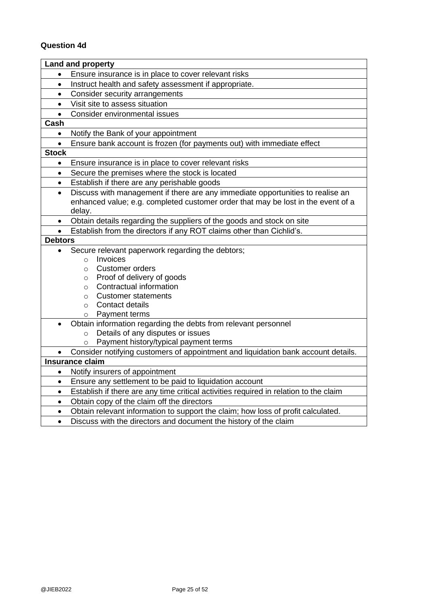# **Question 4d**

|                | <b>Land and property</b>                                                                                    |  |  |
|----------------|-------------------------------------------------------------------------------------------------------------|--|--|
| $\bullet$      | Ensure insurance is in place to cover relevant risks                                                        |  |  |
| $\bullet$      | Instruct health and safety assessment if appropriate.                                                       |  |  |
| $\bullet$      | Consider security arrangements                                                                              |  |  |
| $\bullet$      | Visit site to assess situation                                                                              |  |  |
| $\bullet$      | Consider environmental issues                                                                               |  |  |
| Cash           |                                                                                                             |  |  |
| $\bullet$      | Notify the Bank of your appointment                                                                         |  |  |
| $\bullet$      | Ensure bank account is frozen (for payments out) with immediate effect                                      |  |  |
| <b>Stock</b>   |                                                                                                             |  |  |
| $\bullet$      | Ensure insurance is in place to cover relevant risks                                                        |  |  |
| $\bullet$      | Secure the premises where the stock is located                                                              |  |  |
| $\bullet$      | Establish if there are any perishable goods                                                                 |  |  |
| $\bullet$      | Discuss with management if there are any immediate opportunities to realise an                              |  |  |
|                | enhanced value; e.g. completed customer order that may be lost in the event of a                            |  |  |
|                | delay.                                                                                                      |  |  |
| $\bullet$      | Obtain details regarding the suppliers of the goods and stock on site                                       |  |  |
| $\bullet$      | Establish from the directors if any ROT claims other than Cichlid's.                                        |  |  |
| <b>Debtors</b> |                                                                                                             |  |  |
| $\bullet$      | Secure relevant paperwork regarding the debtors;                                                            |  |  |
|                | Invoices<br>$\Omega$                                                                                        |  |  |
|                | <b>Customer orders</b><br>$\circ$                                                                           |  |  |
|                | Proof of delivery of goods<br>$\circ$                                                                       |  |  |
|                | Contractual information<br>$\circ$                                                                          |  |  |
|                | Customer statements<br>O                                                                                    |  |  |
|                | Contact details<br>$\circ$                                                                                  |  |  |
|                | Payment terms<br>O                                                                                          |  |  |
| $\bullet$      | Obtain information regarding the debts from relevant personnel                                              |  |  |
|                | Details of any disputes or issues<br>$\circ$                                                                |  |  |
|                | Payment history/typical payment terms                                                                       |  |  |
|                | Consider notifying customers of appointment and liquidation bank account details.<br><b>Insurance claim</b> |  |  |
|                |                                                                                                             |  |  |
| $\bullet$      | Notify insurers of appointment                                                                              |  |  |
|                | Ensure any settlement to be paid to liquidation account<br>$\bullet$                                        |  |  |
| $\bullet$      | Establish if there are any time critical activities required in relation to the claim                       |  |  |
| $\bullet$      | Obtain copy of the claim off the directors                                                                  |  |  |
| $\bullet$      | Obtain relevant information to support the claim; how loss of profit calculated.                            |  |  |
| $\bullet$      | Discuss with the directors and document the history of the claim                                            |  |  |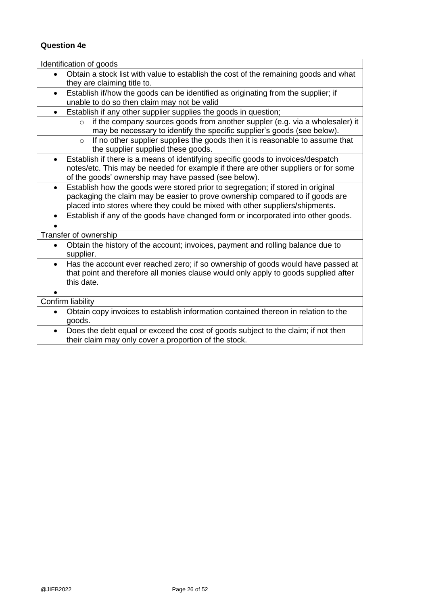## **Question 4e**

| Identification of goods                                                                           |
|---------------------------------------------------------------------------------------------------|
| Obtain a stock list with value to establish the cost of the remaining goods and what<br>$\bullet$ |
| they are claiming title to.                                                                       |
| Establish if/how the goods can be identified as originating from the supplier; if<br>$\bullet$    |
| unable to do so then claim may not be valid                                                       |
| Establish if any other supplier supplies the goods in question;                                   |
| if the company sources goods from another suppler (e.g. via a wholesaler) it<br>$\circ$           |
| may be necessary to identify the specific supplier's goods (see below).                           |
| If no other supplier supplies the goods then it is reasonable to assume that<br>$\circ$           |
| the supplier supplied these goods.                                                                |
| Establish if there is a means of identifying specific goods to invoices/despatch                  |
| notes/etc. This may be needed for example if there are other suppliers or for some                |
| of the goods' ownership may have passed (see below).                                              |
| Establish how the goods were stored prior to segregation; if stored in original<br>$\bullet$      |
| packaging the claim may be easier to prove ownership compared to if goods are                     |
| placed into stores where they could be mixed with other suppliers/shipments.                      |
| Establish if any of the goods have changed form or incorporated into other goods.<br>$\bullet$    |
|                                                                                                   |
| Transfer of ownership                                                                             |
| Obtain the history of the account; invoices, payment and rolling balance due to<br>$\bullet$      |
| supplier.                                                                                         |
| Has the account ever reached zero; if so ownership of goods would have passed at<br>$\bullet$     |
| that point and therefore all monies clause would only apply to goods supplied after               |
| this date.                                                                                        |
|                                                                                                   |
| Confirm liability                                                                                 |
| Obtain copy invoices to establish information contained thereon in relation to the<br>$\bullet$   |
| goods.                                                                                            |
| Does the debt equal or exceed the cost of goods subject to the claim; if not then<br>$\bullet$    |
| their claim may only cover a proportion of the stock.                                             |
|                                                                                                   |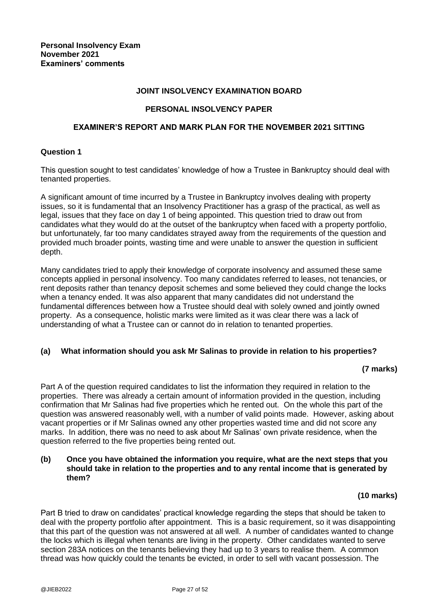#### **JOINT INSOLVENCY EXAMINATION BOARD**

### **PERSONAL INSOLVENCY PAPER**

#### **EXAMINER'S REPORT AND MARK PLAN FOR THE NOVEMBER 2021 SITTING**

#### **Question 1**

This question sought to test candidates' knowledge of how a Trustee in Bankruptcy should deal with tenanted properties.

A significant amount of time incurred by a Trustee in Bankruptcy involves dealing with property issues, so it is fundamental that an Insolvency Practitioner has a grasp of the practical, as well as legal, issues that they face on day 1 of being appointed. This question tried to draw out from candidates what they would do at the outset of the bankruptcy when faced with a property portfolio, but unfortunately, far too many candidates strayed away from the requirements of the question and provided much broader points, wasting time and were unable to answer the question in sufficient depth.

Many candidates tried to apply their knowledge of corporate insolvency and assumed these same concepts applied in personal insolvency. Too many candidates referred to leases, not tenancies, or rent deposits rather than tenancy deposit schemes and some believed they could change the locks when a tenancy ended. It was also apparent that many candidates did not understand the fundamental differences between how a Trustee should deal with solely owned and jointly owned property. As a consequence, holistic marks were limited as it was clear there was a lack of understanding of what a Trustee can or cannot do in relation to tenanted properties.

#### **(a) What information should you ask Mr Salinas to provide in relation to his properties?**

### **(7 marks)**

Part A of the question required candidates to list the information they required in relation to the properties. There was already a certain amount of information provided in the question, including confirmation that Mr Salinas had five properties which he rented out. On the whole this part of the question was answered reasonably well, with a number of valid points made. However, asking about vacant properties or if Mr Salinas owned any other properties wasted time and did not score any marks. In addition, there was no need to ask about Mr Salinas' own private residence, when the question referred to the five properties being rented out.

#### **(b) Once you have obtained the information you require, what are the next steps that you should take in relation to the properties and to any rental income that is generated by them?**

### **(10 marks)**

Part B tried to draw on candidates' practical knowledge regarding the steps that should be taken to deal with the property portfolio after appointment. This is a basic requirement, so it was disappointing that this part of the question was not answered at all well. A number of candidates wanted to change the locks which is illegal when tenants are living in the property. Other candidates wanted to serve section 283A notices on the tenants believing they had up to 3 years to realise them. A common thread was how quickly could the tenants be evicted, in order to sell with vacant possession. The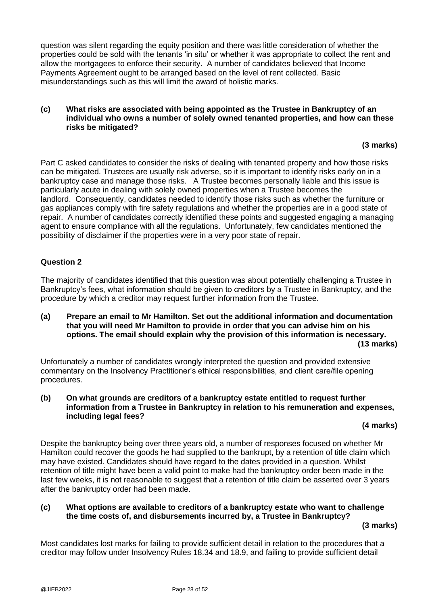question was silent regarding the equity position and there was little consideration of whether the properties could be sold with the tenants 'in situ' or whether it was appropriate to collect the rent and allow the mortgagees to enforce their security. A number of candidates believed that Income Payments Agreement ought to be arranged based on the level of rent collected. Basic misunderstandings such as this will limit the award of holistic marks.

#### **(c) What risks are associated with being appointed as the Trustee in Bankruptcy of an individual who owns a number of solely owned tenanted properties, and how can these risks be mitigated?**

### **(3 marks)**

Part C asked candidates to consider the risks of dealing with tenanted property and how those risks can be mitigated. Trustees are usually risk adverse, so it is important to identify risks early on in a bankruptcy case and manage those risks. A Trustee becomes personally liable and this issue is particularly acute in dealing with solely owned properties when a Trustee becomes the landlord. Consequently, candidates needed to identify those risks such as whether the furniture or gas appliances comply with fire safety regulations and whether the properties are in a good state of repair. A number of candidates correctly identified these points and suggested engaging a managing agent to ensure compliance with all the regulations. Unfortunately, few candidates mentioned the possibility of disclaimer if the properties were in a very poor state of repair.

### **Question 2**

The majority of candidates identified that this question was about potentially challenging a Trustee in Bankruptcy's fees, what information should be given to creditors by a Trustee in Bankruptcy, and the procedure by which a creditor may request further information from the Trustee.

#### **(a) Prepare an email to Mr Hamilton. Set out the additional information and documentation that you will need Mr Hamilton to provide in order that you can advise him on his options. The email should explain why the provision of this information is necessary. (13 marks)**

Unfortunately a number of candidates wrongly interpreted the question and provided extensive commentary on the Insolvency Practitioner's ethical responsibilities, and client care/file opening procedures.

#### **(b) On what grounds are creditors of a bankruptcy estate entitled to request further information from a Trustee in Bankruptcy in relation to his remuneration and expenses, including legal fees?**

### **(4 marks)**

Despite the bankruptcy being over three years old, a number of responses focused on whether Mr Hamilton could recover the goods he had supplied to the bankrupt, by a retention of title claim which may have existed. Candidates should have regard to the dates provided in a question. Whilst retention of title might have been a valid point to make had the bankruptcy order been made in the last few weeks, it is not reasonable to suggest that a retention of title claim be asserted over 3 years after the bankruptcy order had been made.

### **(c) What options are available to creditors of a bankruptcy estate who want to challenge the time costs of, and disbursements incurred by, a Trustee in Bankruptcy?**

**(3 marks)**

Most candidates lost marks for failing to provide sufficient detail in relation to the procedures that a creditor may follow under Insolvency Rules 18.34 and 18.9, and failing to provide sufficient detail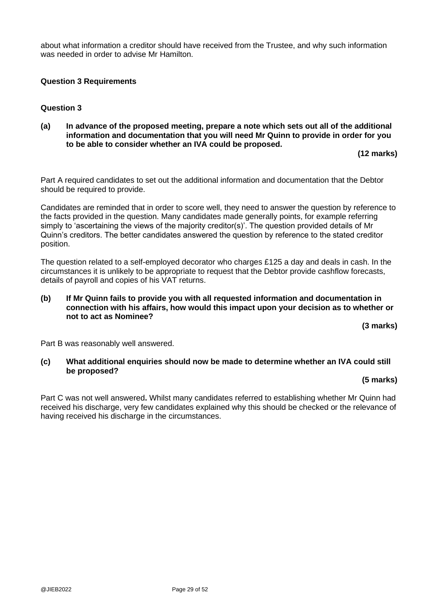about what information a creditor should have received from the Trustee, and why such information was needed in order to advise Mr Hamilton.

### **Question 3 Requirements**

### **Question 3**

**(a) In advance of the proposed meeting, prepare a note which sets out all of the additional information and documentation that you will need Mr Quinn to provide in order for you to be able to consider whether an IVA could be proposed.** 

**(12 marks)**

Part A required candidates to set out the additional information and documentation that the Debtor should be required to provide.

Candidates are reminded that in order to score well, they need to answer the question by reference to the facts provided in the question. Many candidates made generally points, for example referring simply to 'ascertaining the views of the majority creditor(s)'. The question provided details of Mr Quinn's creditors. The better candidates answered the question by reference to the stated creditor position.

The question related to a self-employed decorator who charges £125 a day and deals in cash. In the circumstances it is unlikely to be appropriate to request that the Debtor provide cashflow forecasts, details of payroll and copies of his VAT returns.

#### **(b) If Mr Quinn fails to provide you with all requested information and documentation in connection with his affairs, how would this impact upon your decision as to whether or not to act as Nominee?**

**(3 marks)**

Part B was reasonably well answered.

**(c) What additional enquiries should now be made to determine whether an IVA could still be proposed?** 

#### **(5 marks)**

Part C was not well answered**.** Whilst many candidates referred to establishing whether Mr Quinn had received his discharge, very few candidates explained why this should be checked or the relevance of having received his discharge in the circumstances.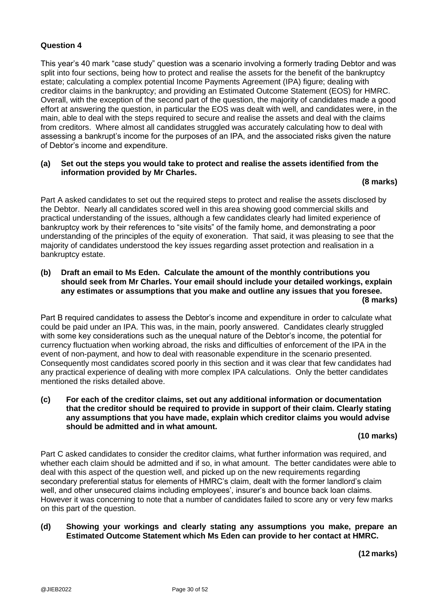### **Question 4**

This year's 40 mark "case study" question was a scenario involving a formerly trading Debtor and was split into four sections, being how to protect and realise the assets for the benefit of the bankruptcy estate; calculating a complex potential Income Payments Agreement (IPA) figure; dealing with creditor claims in the bankruptcy; and providing an Estimated Outcome Statement (EOS) for HMRC. Overall, with the exception of the second part of the question, the majority of candidates made a good effort at answering the question, in particular the EOS was dealt with well, and candidates were, in the main, able to deal with the steps required to secure and realise the assets and deal with the claims from creditors. Where almost all candidates struggled was accurately calculating how to deal with assessing a bankrupt's income for the purposes of an IPA, and the associated risks given the nature of Debtor's income and expenditure.

#### **(a) Set out the steps you would take to protect and realise the assets identified from the information provided by Mr Charles.**

#### **(8 marks)**

Part A asked candidates to set out the required steps to protect and realise the assets disclosed by the Debtor. Nearly all candidates scored well in this area showing good commercial skills and practical understanding of the issues, although a few candidates clearly had limited experience of bankruptcy work by their references to "site visits" of the family home, and demonstrating a poor understanding of the principles of the equity of exoneration. That said, it was pleasing to see that the majority of candidates understood the key issues regarding asset protection and realisation in a bankruptcy estate.

#### **(b) Draft an email to Ms Eden. Calculate the amount of the monthly contributions you should seek from Mr Charles. Your email should include your detailed workings, explain any estimates or assumptions that you make and outline any issues that you foresee. (8 marks)**

Part B required candidates to assess the Debtor's income and expenditure in order to calculate what could be paid under an IPA. This was, in the main, poorly answered. Candidates clearly struggled with some key considerations such as the unequal nature of the Debtor's income, the potential for currency fluctuation when working abroad, the risks and difficulties of enforcement of the IPA in the event of non-payment, and how to deal with reasonable expenditure in the scenario presented. Consequently most candidates scored poorly in this section and it was clear that few candidates had any practical experience of dealing with more complex IPA calculations. Only the better candidates mentioned the risks detailed above.

#### **(c) For each of the creditor claims, set out any additional information or documentation that the creditor should be required to provide in support of their claim. Clearly stating any assumptions that you have made, explain which creditor claims you would advise should be admitted and in what amount.**

#### **(10 marks)**

Part C asked candidates to consider the creditor claims, what further information was required, and whether each claim should be admitted and if so, in what amount. The better candidates were able to deal with this aspect of the question well, and picked up on the new requirements regarding secondary preferential status for elements of HMRC's claim, dealt with the former landlord's claim well, and other unsecured claims including employees', insurer's and bounce back loan claims. However it was concerning to note that a number of candidates failed to score any or very few marks on this part of the question.

### **(d) Showing your workings and clearly stating any assumptions you make, prepare an Estimated Outcome Statement which Ms Eden can provide to her contact at HMRC.**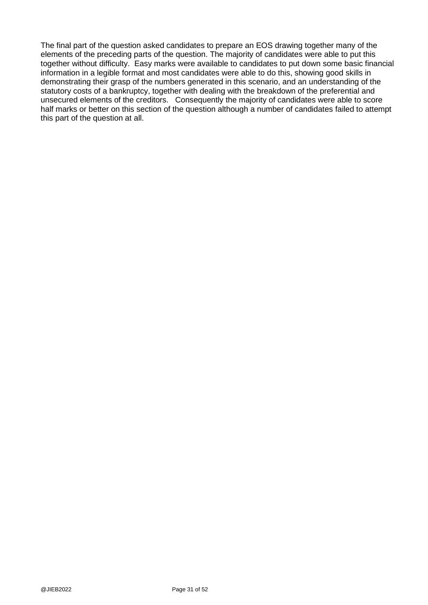The final part of the question asked candidates to prepare an EOS drawing together many of the elements of the preceding parts of the question. The majority of candidates were able to put this together without difficulty. Easy marks were available to candidates to put down some basic financial information in a legible format and most candidates were able to do this, showing good skills in demonstrating their grasp of the numbers generated in this scenario, and an understanding of the statutory costs of a bankruptcy, together with dealing with the breakdown of the preferential and unsecured elements of the creditors. Consequently the majority of candidates were able to score half marks or better on this section of the question although a number of candidates failed to attempt this part of the question at all.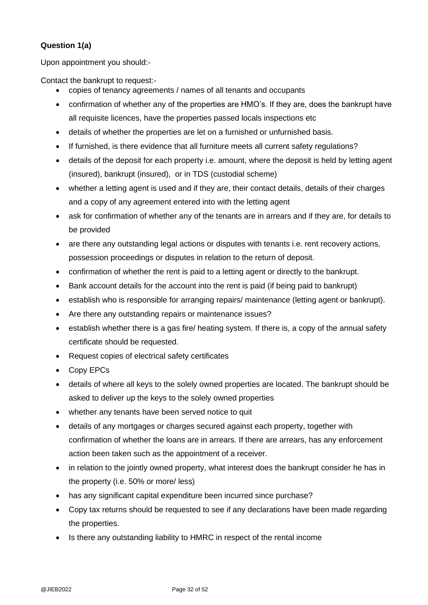## **Question 1(a)**

Upon appointment you should:-

Contact the bankrupt to request:-

- copies of tenancy agreements / names of all tenants and occupants
- confirmation of whether any of the properties are HMO's. If they are, does the bankrupt have all requisite licences, have the properties passed locals inspections etc
- details of whether the properties are let on a furnished or unfurnished basis.
- If furnished, is there evidence that all furniture meets all current safety regulations?
- details of the deposit for each property i.e. amount, where the deposit is held by letting agent (insured), bankrupt (insured), or in TDS (custodial scheme)
- whether a letting agent is used and if they are, their contact details, details of their charges and a copy of any agreement entered into with the letting agent
- ask for confirmation of whether any of the tenants are in arrears and if they are, for details to be provided
- are there any outstanding legal actions or disputes with tenants i.e. rent recovery actions, possession proceedings or disputes in relation to the return of deposit.
- confirmation of whether the rent is paid to a letting agent or directly to the bankrupt.
- Bank account details for the account into the rent is paid (if being paid to bankrupt)
- establish who is responsible for arranging repairs/ maintenance (letting agent or bankrupt).
- Are there any outstanding repairs or maintenance issues?
- establish whether there is a gas fire/ heating system. If there is, a copy of the annual safety certificate should be requested.
- Request copies of electrical safety certificates
- Copy EPCs
- details of where all keys to the solely owned properties are located. The bankrupt should be asked to deliver up the keys to the solely owned properties
- whether any tenants have been served notice to quit
- details of any mortgages or charges secured against each property, together with confirmation of whether the loans are in arrears. If there are arrears, has any enforcement action been taken such as the appointment of a receiver.
- in relation to the jointly owned property, what interest does the bankrupt consider he has in the property (i.e. 50% or more/ less)
- has any significant capital expenditure been incurred since purchase?
- Copy tax returns should be requested to see if any declarations have been made regarding the properties.
- Is there any outstanding liability to HMRC in respect of the rental income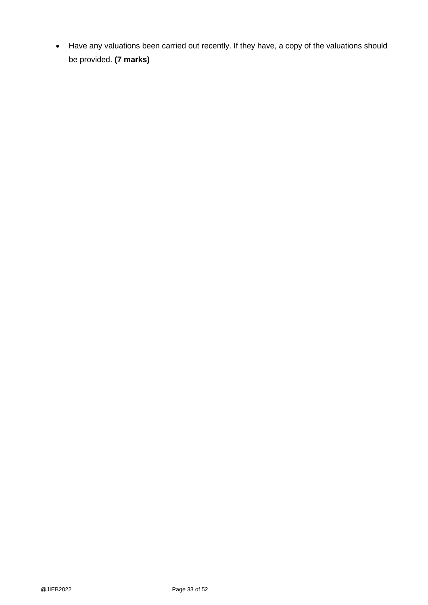• Have any valuations been carried out recently. If they have, a copy of the valuations should be provided. **(7 marks)**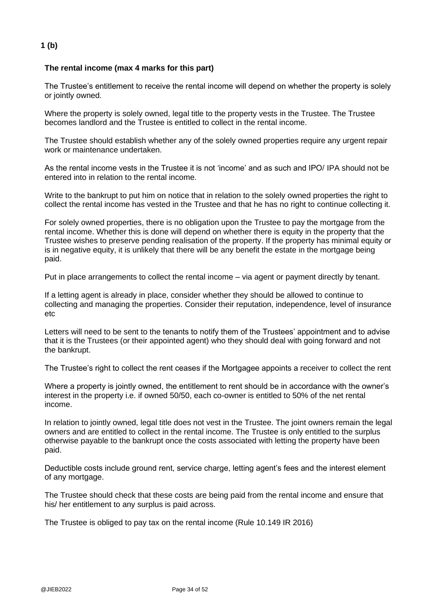## **1 (b)**

### **The rental income (max 4 marks for this part)**

The Trustee's entitlement to receive the rental income will depend on whether the property is solely or jointly owned.

Where the property is solely owned, legal title to the property vests in the Trustee. The Trustee becomes landlord and the Trustee is entitled to collect in the rental income.

The Trustee should establish whether any of the solely owned properties require any urgent repair work or maintenance undertaken.

As the rental income vests in the Trustee it is not 'income' and as such and IPO/ IPA should not be entered into in relation to the rental income.

Write to the bankrupt to put him on notice that in relation to the solely owned properties the right to collect the rental income has vested in the Trustee and that he has no right to continue collecting it.

For solely owned properties, there is no obligation upon the Trustee to pay the mortgage from the rental income. Whether this is done will depend on whether there is equity in the property that the Trustee wishes to preserve pending realisation of the property. If the property has minimal equity or is in negative equity, it is unlikely that there will be any benefit the estate in the mortgage being paid.

Put in place arrangements to collect the rental income – via agent or payment directly by tenant.

If a letting agent is already in place, consider whether they should be allowed to continue to collecting and managing the properties. Consider their reputation, independence, level of insurance etc

Letters will need to be sent to the tenants to notify them of the Trustees' appointment and to advise that it is the Trustees (or their appointed agent) who they should deal with going forward and not the bankrupt.

The Trustee's right to collect the rent ceases if the Mortgagee appoints a receiver to collect the rent

Where a property is jointly owned, the entitlement to rent should be in accordance with the owner's interest in the property i.e. if owned 50/50, each co-owner is entitled to 50% of the net rental income.

In relation to jointly owned, legal title does not vest in the Trustee. The joint owners remain the legal owners and are entitled to collect in the rental income. The Trustee is only entitled to the surplus otherwise payable to the bankrupt once the costs associated with letting the property have been paid.

Deductible costs include ground rent, service charge, letting agent's fees and the interest element of any mortgage.

The Trustee should check that these costs are being paid from the rental income and ensure that his/ her entitlement to any surplus is paid across.

The Trustee is obliged to pay tax on the rental income (Rule 10.149 IR 2016)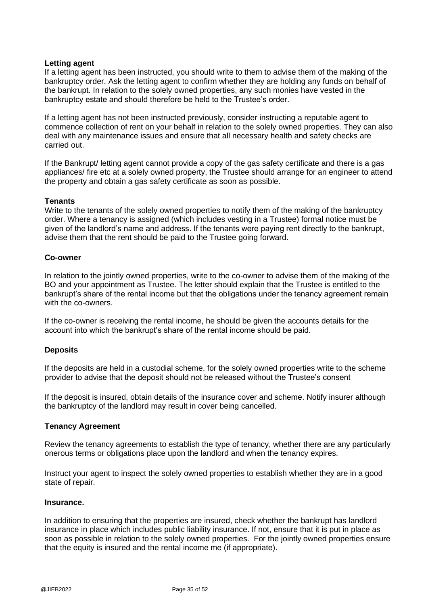#### **Letting agent**

If a letting agent has been instructed, you should write to them to advise them of the making of the bankruptcy order. Ask the letting agent to confirm whether they are holding any funds on behalf of the bankrupt. In relation to the solely owned properties, any such monies have vested in the bankruptcy estate and should therefore be held to the Trustee's order.

If a letting agent has not been instructed previously, consider instructing a reputable agent to commence collection of rent on your behalf in relation to the solely owned properties. They can also deal with any maintenance issues and ensure that all necessary health and safety checks are carried out.

If the Bankrupt/ letting agent cannot provide a copy of the gas safety certificate and there is a gas appliances/ fire etc at a solely owned property, the Trustee should arrange for an engineer to attend the property and obtain a gas safety certificate as soon as possible.

#### **Tenants**

Write to the tenants of the solely owned properties to notify them of the making of the bankruptcy order. Where a tenancy is assigned (which includes vesting in a Trustee) formal notice must be given of the landlord's name and address. If the tenants were paying rent directly to the bankrupt, advise them that the rent should be paid to the Trustee going forward.

#### **Co-owner**

In relation to the jointly owned properties, write to the co-owner to advise them of the making of the BO and your appointment as Trustee. The letter should explain that the Trustee is entitled to the bankrupt's share of the rental income but that the obligations under the tenancy agreement remain with the co-owners.

If the co-owner is receiving the rental income, he should be given the accounts details for the account into which the bankrupt's share of the rental income should be paid.

### **Deposits**

If the deposits are held in a custodial scheme, for the solely owned properties write to the scheme provider to advise that the deposit should not be released without the Trustee's consent

If the deposit is insured, obtain details of the insurance cover and scheme. Notify insurer although the bankruptcy of the landlord may result in cover being cancelled.

#### **Tenancy Agreement**

Review the tenancy agreements to establish the type of tenancy, whether there are any particularly onerous terms or obligations place upon the landlord and when the tenancy expires.

Instruct your agent to inspect the solely owned properties to establish whether they are in a good state of repair.

#### **Insurance.**

In addition to ensuring that the properties are insured, check whether the bankrupt has landlord insurance in place which includes public liability insurance. If not, ensure that it is put in place as soon as possible in relation to the solely owned properties. For the jointly owned properties ensure that the equity is insured and the rental income me (if appropriate).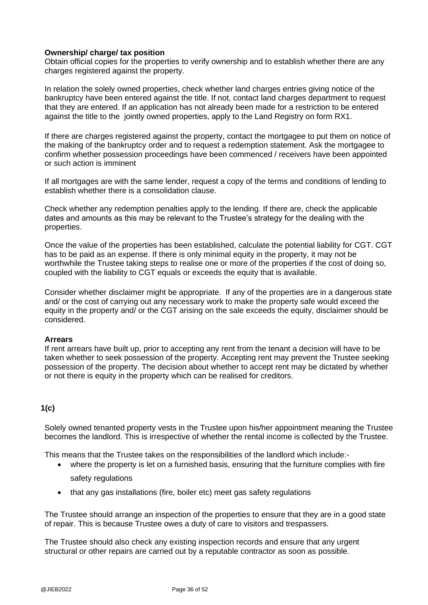### **Ownership/ charge/ tax position**

Obtain official copies for the properties to verify ownership and to establish whether there are any charges registered against the property.

In relation the solely owned properties, check whether land charges entries giving notice of the bankruptcy have been entered against the title. If not, contact land charges department to request that they are entered. If an application has not already been made for a restriction to be entered against the title to the jointly owned properties, apply to the Land Registry on form RX1.

If there are charges registered against the property, contact the mortgagee to put them on notice of the making of the bankruptcy order and to request a redemption statement. Ask the mortgagee to confirm whether possession proceedings have been commenced / receivers have been appointed or such action is imminent

If all mortgages are with the same lender, request a copy of the terms and conditions of lending to establish whether there is a consolidation clause.

Check whether any redemption penalties apply to the lending. If there are, check the applicable dates and amounts as this may be relevant to the Trustee's strategy for the dealing with the properties.

Once the value of the properties has been established, calculate the potential liability for CGT. CGT has to be paid as an expense. If there is only minimal equity in the property, it may not be worthwhile the Trustee taking steps to realise one or more of the properties if the cost of doing so, coupled with the liability to CGT equals or exceeds the equity that is available.

Consider whether disclaimer might be appropriate. If any of the properties are in a dangerous state and/ or the cost of carrying out any necessary work to make the property safe would exceed the equity in the property and/ or the CGT arising on the sale exceeds the equity, disclaimer should be considered.

### **Arrears**

If rent arrears have built up, prior to accepting any rent from the tenant a decision will have to be taken whether to seek possession of the property. Accepting rent may prevent the Trustee seeking possession of the property. The decision about whether to accept rent may be dictated by whether or not there is equity in the property which can be realised for creditors.

### **1(c)**

Solely owned tenanted property vests in the Trustee upon his/her appointment meaning the Trustee becomes the landlord. This is irrespective of whether the rental income is collected by the Trustee.

This means that the Trustee takes on the responsibilities of the landlord which include:-

- where the property is let on a furnished basis, ensuring that the furniture complies with fire safety regulations
- that any gas installations (fire, boiler etc) meet gas safety regulations

The Trustee should arrange an inspection of the properties to ensure that they are in a good state of repair. This is because Trustee owes a duty of care to visitors and trespassers.

The Trustee should also check any existing inspection records and ensure that any urgent structural or other repairs are carried out by a reputable contractor as soon as possible.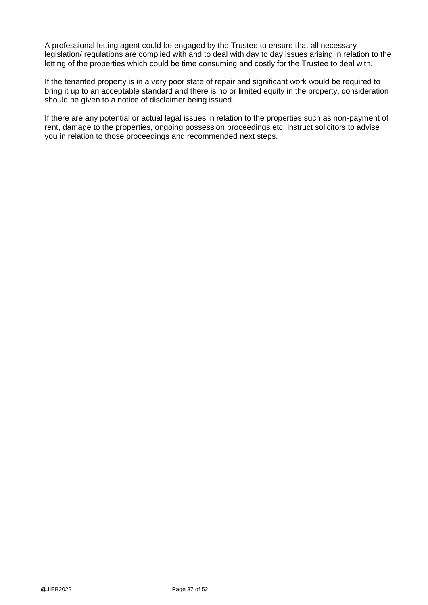A professional letting agent could be engaged by the Trustee to ensure that all necessary legislation/ regulations are complied with and to deal with day to day issues arising in relation to the letting of the properties which could be time consuming and costly for the Trustee to deal with.

If the tenanted property is in a very poor state of repair and significant work would be required to bring it up to an acceptable standard and there is no or limited equity in the property, consideration should be given to a notice of disclaimer being issued.

If there are any potential or actual legal issues in relation to the properties such as non-payment of rent, damage to the properties, ongoing possession proceedings etc, instruct solicitors to advise you in relation to those proceedings and recommended next steps.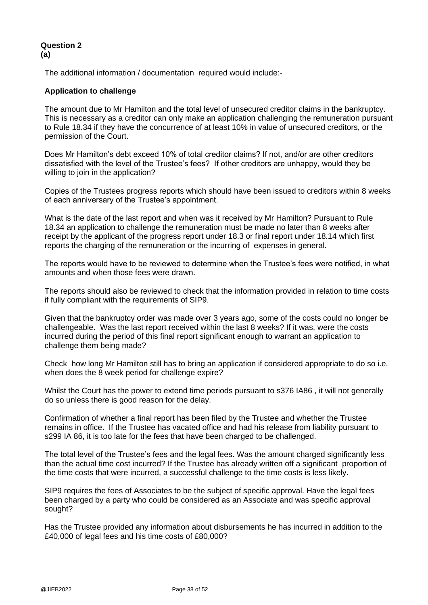### **Question 2 (a)**

The additional information / documentation required would include:-

### **Application to challenge**

The amount due to Mr Hamilton and the total level of unsecured creditor claims in the bankruptcy. This is necessary as a creditor can only make an application challenging the remuneration pursuant to Rule 18.34 if they have the concurrence of at least 10% in value of unsecured creditors, or the permission of the Court.

Does Mr Hamilton's debt exceed 10% of total creditor claims? If not, and/or are other creditors dissatisfied with the level of the Trustee's fees? If other creditors are unhappy, would they be willing to join in the application?

Copies of the Trustees progress reports which should have been issued to creditors within 8 weeks of each anniversary of the Trustee's appointment.

What is the date of the last report and when was it received by Mr Hamilton? Pursuant to Rule 18.34 an application to challenge the remuneration must be made no later than 8 weeks after receipt by the applicant of the progress report under 18.3 or final report under 18.14 which first reports the charging of the remuneration or the incurring of expenses in general.

The reports would have to be reviewed to determine when the Trustee's fees were notified, in what amounts and when those fees were drawn.

The reports should also be reviewed to check that the information provided in relation to time costs if fully compliant with the requirements of SIP9.

Given that the bankruptcy order was made over 3 years ago, some of the costs could no longer be challengeable. Was the last report received within the last 8 weeks? If it was, were the costs incurred during the period of this final report significant enough to warrant an application to challenge them being made?

Check how long Mr Hamilton still has to bring an application if considered appropriate to do so i.e. when does the 8 week period for challenge expire?

Whilst the Court has the power to extend time periods pursuant to s376 IA86 , it will not generally do so unless there is good reason for the delay.

Confirmation of whether a final report has been filed by the Trustee and whether the Trustee remains in office. If the Trustee has vacated office and had his release from liability pursuant to s299 IA 86, it is too late for the fees that have been charged to be challenged.

The total level of the Trustee's fees and the legal fees. Was the amount charged significantly less than the actual time cost incurred? If the Trustee has already written off a significant proportion of the time costs that were incurred, a successful challenge to the time costs is less likely.

SIP9 requires the fees of Associates to be the subject of specific approval. Have the legal fees been charged by a party who could be considered as an Associate and was specific approval sought?

Has the Trustee provided any information about disbursements he has incurred in addition to the £40,000 of legal fees and his time costs of £80,000?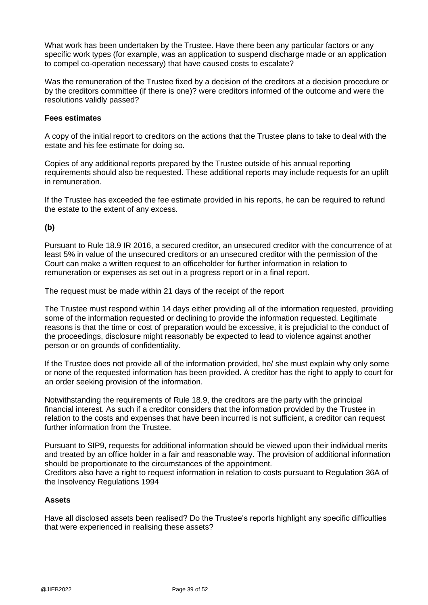What work has been undertaken by the Trustee. Have there been any particular factors or any specific work types (for example, was an application to suspend discharge made or an application to compel co-operation necessary) that have caused costs to escalate?

Was the remuneration of the Trustee fixed by a decision of the creditors at a decision procedure or by the creditors committee (if there is one)? were creditors informed of the outcome and were the resolutions validly passed?

#### **Fees estimates**

A copy of the initial report to creditors on the actions that the Trustee plans to take to deal with the estate and his fee estimate for doing so.

Copies of any additional reports prepared by the Trustee outside of his annual reporting requirements should also be requested. These additional reports may include requests for an uplift in remuneration.

If the Trustee has exceeded the fee estimate provided in his reports, he can be required to refund the estate to the extent of any excess.

### **(b)**

Pursuant to Rule 18.9 IR 2016, a secured creditor, an unsecured creditor with the concurrence of at least 5% in value of the unsecured creditors or an unsecured creditor with the permission of the Court can make a written request to an officeholder for further information in relation to remuneration or expenses as set out in a progress report or in a final report.

The request must be made within 21 days of the receipt of the report

The Trustee must respond within 14 days either providing all of the information requested, providing some of the information requested or declining to provide the information requested. Legitimate reasons is that the time or cost of preparation would be excessive, it is prejudicial to the conduct of the proceedings, disclosure might reasonably be expected to lead to violence against another person or on grounds of confidentiality.

If the Trustee does not provide all of the information provided, he/ she must explain why only some or none of the requested information has been provided. A creditor has the right to apply to court for an order seeking provision of the information.

Notwithstanding the requirements of Rule 18.9, the creditors are the party with the principal financial interest. As such if a creditor considers that the information provided by the Trustee in relation to the costs and expenses that have been incurred is not sufficient, a creditor can request further information from the Trustee.

Pursuant to SIP9, requests for additional information should be viewed upon their individual merits and treated by an office holder in a fair and reasonable way. The provision of additional information should be proportionate to the circumstances of the appointment.

Creditors also have a right to request information in relation to costs pursuant to Regulation 36A of the Insolvency Regulations 1994

#### **Assets**

Have all disclosed assets been realised? Do the Trustee's reports highlight any specific difficulties that were experienced in realising these assets?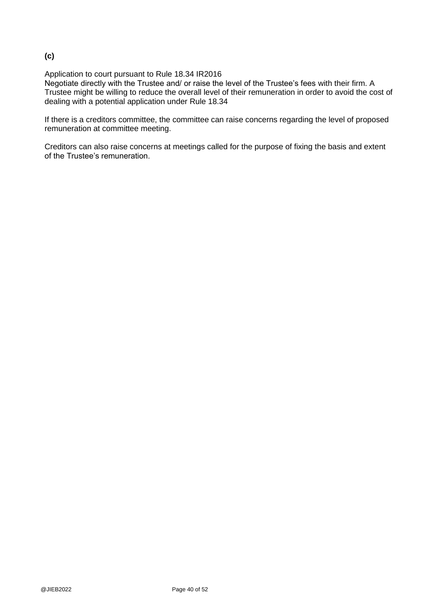## **(c)**

Application to court pursuant to Rule 18.34 IR2016

Negotiate directly with the Trustee and/ or raise the level of the Trustee's fees with their firm. A Trustee might be willing to reduce the overall level of their remuneration in order to avoid the cost of dealing with a potential application under Rule 18.34

If there is a creditors committee, the committee can raise concerns regarding the level of proposed remuneration at committee meeting.

Creditors can also raise concerns at meetings called for the purpose of fixing the basis and extent of the Trustee's remuneration.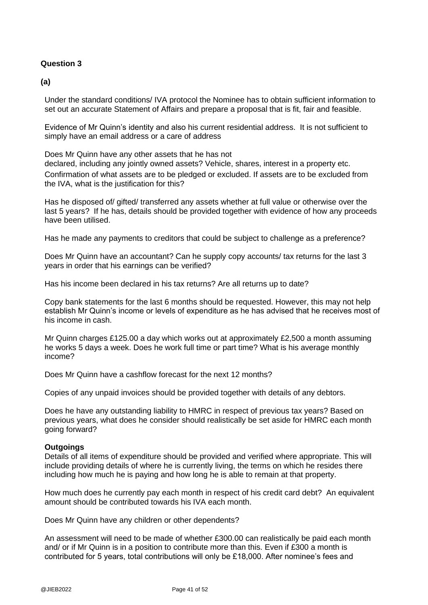### **Question 3**

**(a)**

Under the standard conditions/ IVA protocol the Nominee has to obtain sufficient information to set out an accurate Statement of Affairs and prepare a proposal that is fit, fair and feasible.

Evidence of Mr Quinn's identity and also his current residential address. It is not sufficient to simply have an email address or a care of address

Does Mr Quinn have any other assets that he has not

declared, including any jointly owned assets? Vehicle, shares, interest in a property etc. Confirmation of what assets are to be pledged or excluded. If assets are to be excluded from the IVA, what is the justification for this?

Has he disposed of/ gifted/ transferred any assets whether at full value or otherwise over the last 5 years? If he has, details should be provided together with evidence of how any proceeds have been utilised.

Has he made any payments to creditors that could be subject to challenge as a preference?

Does Mr Quinn have an accountant? Can he supply copy accounts/ tax returns for the last 3 years in order that his earnings can be verified?

Has his income been declared in his tax returns? Are all returns up to date?

Copy bank statements for the last 6 months should be requested. However, this may not help establish Mr Quinn's income or levels of expenditure as he has advised that he receives most of his income in cash.

Mr Quinn charges £125.00 a day which works out at approximately £2,500 a month assuming he works 5 days a week. Does he work full time or part time? What is his average monthly income?

Does Mr Quinn have a cashflow forecast for the next 12 months?

Copies of any unpaid invoices should be provided together with details of any debtors.

Does he have any outstanding liability to HMRC in respect of previous tax years? Based on previous years, what does he consider should realistically be set aside for HMRC each month going forward?

#### **Outgoings**

Details of all items of expenditure should be provided and verified where appropriate. This will include providing details of where he is currently living, the terms on which he resides there including how much he is paying and how long he is able to remain at that property.

How much does he currently pay each month in respect of his credit card debt? An equivalent amount should be contributed towards his IVA each month.

Does Mr Quinn have any children or other dependents?

An assessment will need to be made of whether £300.00 can realistically be paid each month and/ or if Mr Quinn is in a position to contribute more than this. Even if £300 a month is contributed for 5 years, total contributions will only be £18,000. After nominee's fees and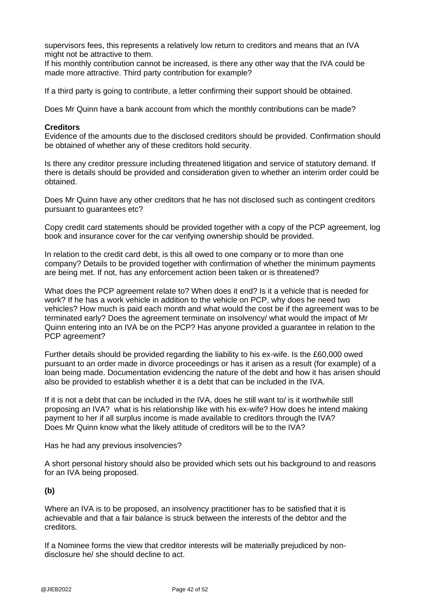supervisors fees, this represents a relatively low return to creditors and means that an IVA might not be attractive to them.

If his monthly contribution cannot be increased, is there any other way that the IVA could be made more attractive. Third party contribution for example?

If a third party is going to contribute, a letter confirming their support should be obtained.

Does Mr Quinn have a bank account from which the monthly contributions can be made?

#### **Creditors**

Evidence of the amounts due to the disclosed creditors should be provided. Confirmation should be obtained of whether any of these creditors hold security.

Is there any creditor pressure including threatened litigation and service of statutory demand. If there is details should be provided and consideration given to whether an interim order could be obtained.

Does Mr Quinn have any other creditors that he has not disclosed such as contingent creditors pursuant to guarantees etc?

Copy credit card statements should be provided together with a copy of the PCP agreement, log book and insurance cover for the car verifying ownership should be provided.

In relation to the credit card debt, is this all owed to one company or to more than one company? Details to be provided together with confirmation of whether the minimum payments are being met. If not, has any enforcement action been taken or is threatened?

What does the PCP agreement relate to? When does it end? Is it a vehicle that is needed for work? If he has a work vehicle in addition to the vehicle on PCP, why does he need two vehicles? How much is paid each month and what would the cost be if the agreement was to be terminated early? Does the agreement terminate on insolvency/ what would the impact of Mr Quinn entering into an IVA be on the PCP? Has anyone provided a guarantee in relation to the PCP agreement?

Further details should be provided regarding the liability to his ex-wife. Is the £60,000 owed pursuant to an order made in divorce proceedings or has it arisen as a result (for example) of a loan being made. Documentation evidencing the nature of the debt and how it has arisen should also be provided to establish whether it is a debt that can be included in the IVA.

If it is not a debt that can be included in the IVA, does he still want to/ is it worthwhile still proposing an IVA? what is his relationship like with his ex-wife? How does he intend making payment to her if all surplus income is made available to creditors through the IVA? Does Mr Quinn know what the likely attitude of creditors will be to the IVA?

Has he had any previous insolvencies?

A short personal history should also be provided which sets out his background to and reasons for an IVA being proposed.

### **(b)**

Where an IVA is to be proposed, an insolvency practitioner has to be satisfied that it is achievable and that a fair balance is struck between the interests of the debtor and the creditors.

If a Nominee forms the view that creditor interests will be materially prejudiced by nondisclosure he/ she should decline to act.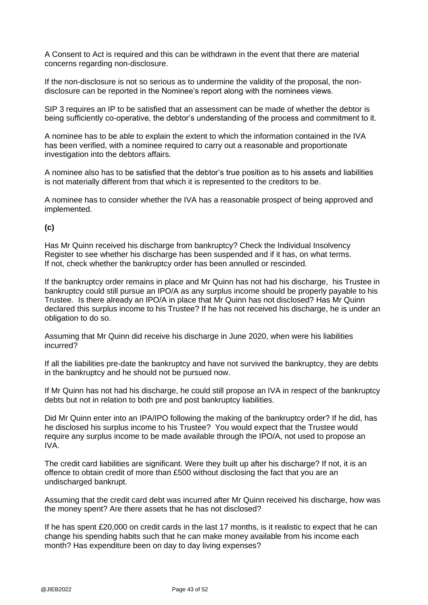A Consent to Act is required and this can be withdrawn in the event that there are material concerns regarding non-disclosure.

If the non-disclosure is not so serious as to undermine the validity of the proposal, the nondisclosure can be reported in the Nominee's report along with the nominees views.

SIP 3 requires an IP to be satisfied that an assessment can be made of whether the debtor is being sufficiently co-operative, the debtor's understanding of the process and commitment to it.

A nominee has to be able to explain the extent to which the information contained in the IVA has been verified, with a nominee required to carry out a reasonable and proportionate investigation into the debtors affairs.

A nominee also has to be satisfied that the debtor's true position as to his assets and liabilities is not materially different from that which it is represented to the creditors to be.

A nominee has to consider whether the IVA has a reasonable prospect of being approved and implemented.

### **(c)**

Has Mr Quinn received his discharge from bankruptcy? Check the Individual Insolvency Register to see whether his discharge has been suspended and if it has, on what terms. If not, check whether the bankruptcy order has been annulled or rescinded.

If the bankruptcy order remains in place and Mr Quinn has not had his discharge, his Trustee in bankruptcy could still pursue an IPO/A as any surplus income should be properly payable to his Trustee. Is there already an IPO/A in place that Mr Quinn has not disclosed? Has Mr Quinn declared this surplus income to his Trustee? If he has not received his discharge, he is under an obligation to do so.

Assuming that Mr Quinn did receive his discharge in June 2020, when were his liabilities incurred?

If all the liabilities pre-date the bankruptcy and have not survived the bankruptcy, they are debts in the bankruptcy and he should not be pursued now.

If Mr Quinn has not had his discharge, he could still propose an IVA in respect of the bankruptcy debts but not in relation to both pre and post bankruptcy liabilities.

Did Mr Quinn enter into an IPA/IPO following the making of the bankruptcy order? If he did, has he disclosed his surplus income to his Trustee? You would expect that the Trustee would require any surplus income to be made available through the IPO/A, not used to propose an IVA.

The credit card liabilities are significant. Were they built up after his discharge? If not, it is an offence to obtain credit of more than £500 without disclosing the fact that you are an undischarged bankrupt.

Assuming that the credit card debt was incurred after Mr Quinn received his discharge, how was the money spent? Are there assets that he has not disclosed?

If he has spent £20,000 on credit cards in the last 17 months, is it realistic to expect that he can change his spending habits such that he can make money available from his income each month? Has expenditure been on day to day living expenses?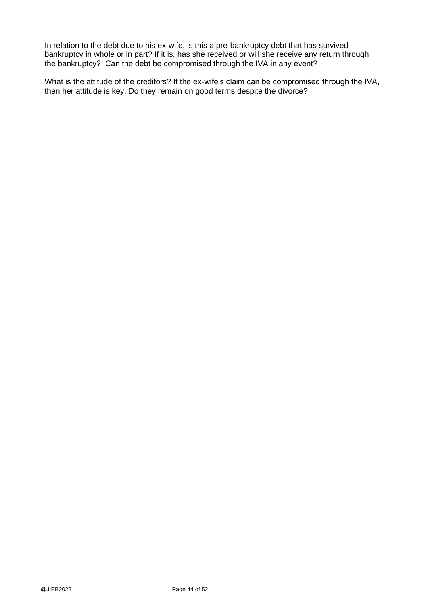In relation to the debt due to his ex-wife, is this a pre-bankruptcy debt that has survived bankruptcy in whole or in part? If it is, has she received or will she receive any return through the bankruptcy? Can the debt be compromised through the IVA in any event?

What is the attitude of the creditors? If the ex-wife's claim can be compromised through the IVA, then her attitude is key. Do they remain on good terms despite the divorce?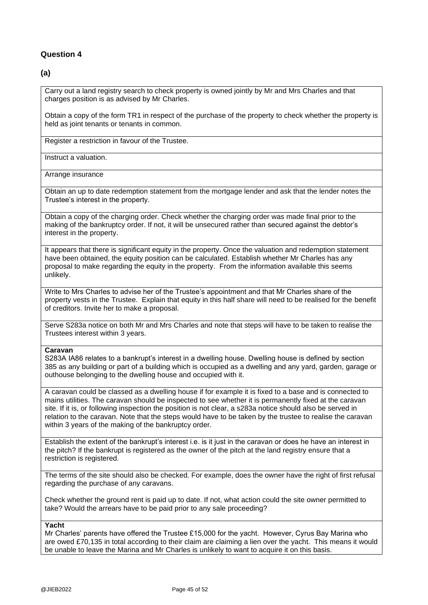#### **Question 4**

### **(a)**

Carry out a land registry search to check property is owned jointly by Mr and Mrs Charles and that charges position is as advised by Mr Charles.

Obtain a copy of the form TR1 in respect of the purchase of the property to check whether the property is held as joint tenants or tenants in common.

Register a restriction in favour of the Trustee.

Instruct a valuation.

Arrange insurance

Obtain an up to date redemption statement from the mortgage lender and ask that the lender notes the Trustee's interest in the property.

Obtain a copy of the charging order. Check whether the charging order was made final prior to the making of the bankruptcy order. If not, it will be unsecured rather than secured against the debtor's interest in the property.

It appears that there is significant equity in the property. Once the valuation and redemption statement have been obtained, the equity position can be calculated. Establish whether Mr Charles has any proposal to make regarding the equity in the property. From the information available this seems unlikely.

Write to Mrs Charles to advise her of the Trustee's appointment and that Mr Charles share of the property vests in the Trustee. Explain that equity in this half share will need to be realised for the benefit of creditors. Invite her to make a proposal.

Serve S283a notice on both Mr and Mrs Charles and note that steps will have to be taken to realise the Trustees interest within 3 years.

#### **Caravan**

S283A IA86 relates to a bankrupt's interest in a dwelling house. Dwelling house is defined by section 385 as any building or part of a building which is occupied as a dwelling and any yard, garden, garage or outhouse belonging to the dwelling house and occupied with it.

A caravan could be classed as a dwelling house if for example it is fixed to a base and is connected to mains utilities. The caravan should be inspected to see whether it is permanently fixed at the caravan site. If it is, or following inspection the position is not clear, a s283a notice should also be served in relation to the caravan. Note that the steps would have to be taken by the trustee to realise the caravan within 3 years of the making of the bankruptcy order.

Establish the extent of the bankrupt's interest i.e. is it just in the caravan or does he have an interest in the pitch? If the bankrupt is registered as the owner of the pitch at the land registry ensure that a restriction is registered.

The terms of the site should also be checked. For example, does the owner have the right of first refusal regarding the purchase of any caravans.

Check whether the ground rent is paid up to date. If not, what action could the site owner permitted to take? Would the arrears have to be paid prior to any sale proceeding?

#### **Yacht**

Mr Charles' parents have offered the Trustee £15,000 for the yacht. However, Cyrus Bay Marina who are owed £70,135 in total according to their claim are claiming a lien over the yacht. This means it would be unable to leave the Marina and Mr Charles is unlikely to want to acquire it on this basis.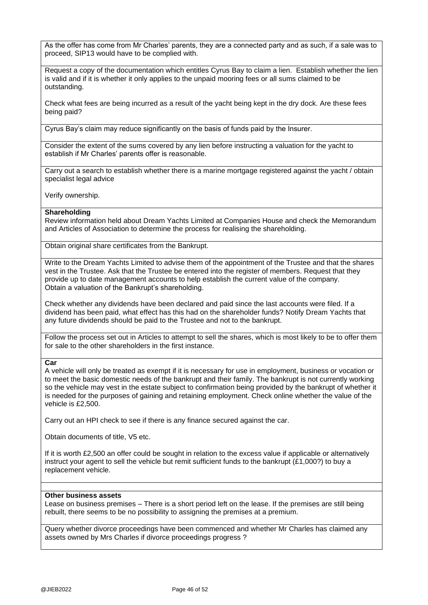As the offer has come from Mr Charles' parents, they are a connected party and as such, if a sale was to proceed, SIP13 would have to be complied with.

Request a copy of the documentation which entitles Cyrus Bay to claim a lien. Establish whether the lien is valid and if it is whether it only applies to the unpaid mooring fees or all sums claimed to be outstanding.

Check what fees are being incurred as a result of the yacht being kept in the dry dock. Are these fees being paid?

Cyrus Bay's claim may reduce significantly on the basis of funds paid by the Insurer.

Consider the extent of the sums covered by any lien before instructing a valuation for the yacht to establish if Mr Charles' parents offer is reasonable.

Carry out a search to establish whether there is a marine mortgage registered against the yacht / obtain specialist legal advice

Verify ownership.

#### **Shareholding**

Review information held about Dream Yachts Limited at Companies House and check the Memorandum and Articles of Association to determine the process for realising the shareholding.

Obtain original share certificates from the Bankrupt.

Write to the Dream Yachts Limited to advise them of the appointment of the Trustee and that the shares vest in the Trustee. Ask that the Trustee be entered into the register of members. Request that they provide up to date management accounts to help establish the current value of the company. Obtain a valuation of the Bankrupt's shareholding.

Check whether any dividends have been declared and paid since the last accounts were filed. If a dividend has been paid, what effect has this had on the shareholder funds? Notify Dream Yachts that any future dividends should be paid to the Trustee and not to the bankrupt.

Follow the process set out in Articles to attempt to sell the shares, which is most likely to be to offer them for sale to the other shareholders in the first instance.

#### **Car**

A vehicle will only be treated as exempt if it is necessary for use in employment, business or vocation or to meet the basic domestic needs of the bankrupt and their family. The bankrupt is not currently working so the vehicle may vest in the estate subject to confirmation being provided by the bankrupt of whether it is needed for the purposes of gaining and retaining employment. Check online whether the value of the vehicle is £2,500.

Carry out an HPI check to see if there is any finance secured against the car.

Obtain documents of title, V5 etc.

If it is worth £2,500 an offer could be sought in relation to the excess value if applicable or alternatively instruct your agent to sell the vehicle but remit sufficient funds to the bankrupt (£1,000?) to buy a replacement vehicle.

#### **Other business assets**

Lease on business premises – There is a short period left on the lease. If the premises are still being rebuilt, there seems to be no possibility to assigning the premises at a premium.

Query whether divorce proceedings have been commenced and whether Mr Charles has claimed any assets owned by Mrs Charles if divorce proceedings progress ?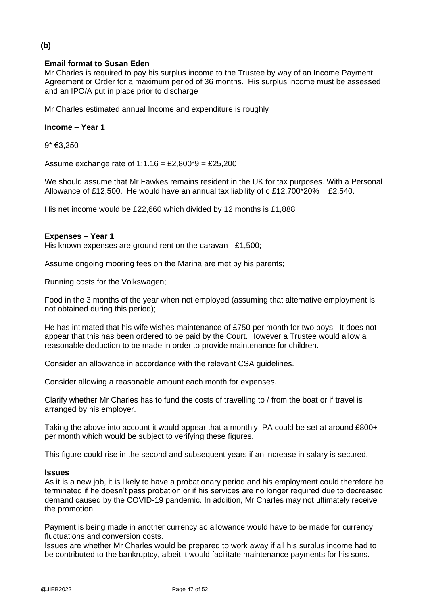## **Email format to Susan Eden**

Mr Charles is required to pay his surplus income to the Trustee by way of an Income Payment Agreement or Order for a maximum period of 36 months. His surplus income must be assessed and an IPO/A put in place prior to discharge

Mr Charles estimated annual Income and expenditure is roughly

#### **Income – Year 1**

9\* €3,250

Assume exchange rate of  $1:1.16 = £2,800*9 = £25,200$ 

We should assume that Mr Fawkes remains resident in the UK for tax purposes. With a Personal Allowance of £12,500. He would have an annual tax liability of c £12,700\*20% = £2,540.

His net income would be £22,660 which divided by 12 months is £1,888.

### **Expenses – Year 1**

His known expenses are ground rent on the caravan - £1,500;

Assume ongoing mooring fees on the Marina are met by his parents:

Running costs for the Volkswagen;

Food in the 3 months of the year when not employed (assuming that alternative employment is not obtained during this period);

He has intimated that his wife wishes maintenance of £750 per month for two boys. It does not appear that this has been ordered to be paid by the Court. However a Trustee would allow a reasonable deduction to be made in order to provide maintenance for children.

Consider an allowance in accordance with the relevant CSA guidelines.

Consider allowing a reasonable amount each month for expenses.

Clarify whether Mr Charles has to fund the costs of travelling to / from the boat or if travel is arranged by his employer.

Taking the above into account it would appear that a monthly IPA could be set at around £800+ per month which would be subject to verifying these figures.

This figure could rise in the second and subsequent years if an increase in salary is secured.

#### **Issues**

As it is a new job, it is likely to have a probationary period and his employment could therefore be terminated if he doesn't pass probation or if his services are no longer required due to decreased demand caused by the COVID-19 pandemic. In addition, Mr Charles may not ultimately receive the promotion.

Payment is being made in another currency so allowance would have to be made for currency fluctuations and conversion costs.

Issues are whether Mr Charles would be prepared to work away if all his surplus income had to be contributed to the bankruptcy, albeit it would facilitate maintenance payments for his sons.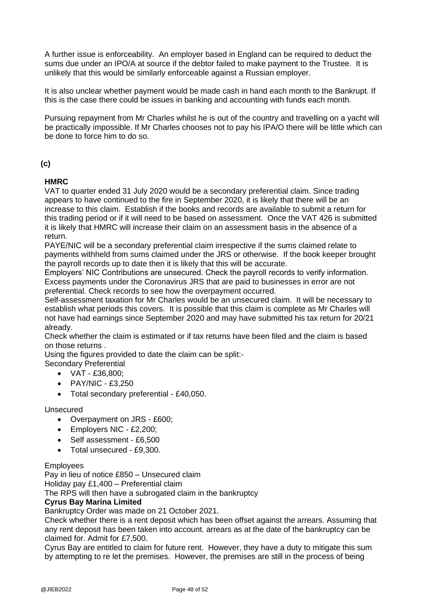A further issue is enforceability. An employer based in England can be required to deduct the sums due under an IPO/A at source if the debtor failed to make payment to the Trustee. It is unlikely that this would be similarly enforceable against a Russian employer.

It is also unclear whether payment would be made cash in hand each month to the Bankrupt. If this is the case there could be issues in banking and accounting with funds each month.

Pursuing repayment from Mr Charles whilst he is out of the country and travelling on a yacht will be practically impossible. If Mr Charles chooses not to pay his IPA/O there will be little which can be done to force him to do so.

### **(c)**

### **HMRC**

VAT to quarter ended 31 July 2020 would be a secondary preferential claim. Since trading appears to have continued to the fire in September 2020, it is likely that there will be an increase to this claim. Establish if the books and records are available to submit a return for this trading period or if it will need to be based on assessment. Once the VAT 426 is submitted it is likely that HMRC will increase their claim on an assessment basis in the absence of a return.

PAYE/NIC will be a secondary preferential claim irrespective if the sums claimed relate to payments withheld from sums claimed under the JRS or otherwise. If the book keeper brought the payroll records up to date then it is likely that this will be accurate.

Employers' NIC Contributions are unsecured. Check the payroll records to verify information. Excess payments under the Coronavirus JRS that are paid to businesses in error are not preferential. Check records to see how the overpayment occurred.

Self-assessment taxation for Mr Charles would be an unsecured claim. It will be necessary to establish what periods this covers. It is possible that this claim is complete as Mr Charles will not have had earnings since September 2020 and may have submitted his tax return for 20/21 already.

Check whether the claim is estimated or if tax returns have been filed and the claim is based on those returns .

Using the figures provided to date the claim can be split:-

Secondary Preferential

- VAT £36,800;
- PAY/NIC £3,250
- Total secondary preferential £40,050.

### Unsecured

- Overpayment on JRS £600;
- Employers NIC £2,200;
- Self assessment £6,500
- Total unsecured £9,300.

### **Employees**

Pay in lieu of notice £850 – Unsecured claim

Holiday pay £1,400 – Preferential claim

The RPS will then have a subrogated claim in the bankruptcy

#### **Cyrus Bay Marina Limited**

Bankruptcy Order was made on 21 October 2021.

Check whether there is a rent deposit which has been offset against the arrears. Assuming that any rent deposit has been taken into account. arrears as at the date of the bankruptcy can be claimed for. Admit for £7,500.

Cyrus Bay are entitled to claim for future rent. However, they have a duty to mitigate this sum by attempting to re let the premises. However, the premises are still in the process of being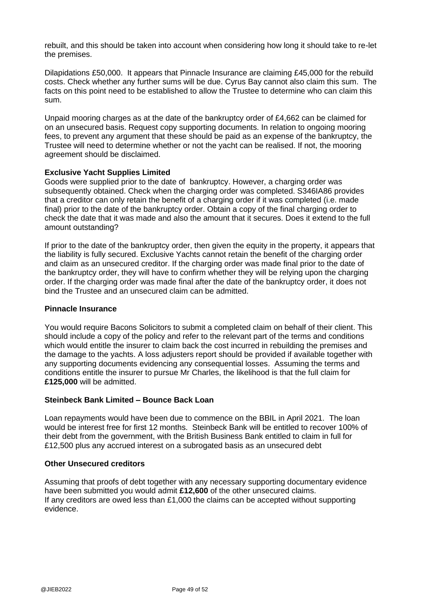rebuilt, and this should be taken into account when considering how long it should take to re-let the premises.

Dilapidations £50,000. It appears that Pinnacle Insurance are claiming £45,000 for the rebuild costs. Check whether any further sums will be due. Cyrus Bay cannot also claim this sum. The facts on this point need to be established to allow the Trustee to determine who can claim this sum.

Unpaid mooring charges as at the date of the bankruptcy order of £4,662 can be claimed for on an unsecured basis. Request copy supporting documents. In relation to ongoing mooring fees, to prevent any argument that these should be paid as an expense of the bankruptcy, the Trustee will need to determine whether or not the yacht can be realised. If not, the mooring agreement should be disclaimed.

### **Exclusive Yacht Supplies Limited**

Goods were supplied prior to the date of bankruptcy. However, a charging order was subsequently obtained. Check when the charging order was completed. S346IA86 provides that a creditor can only retain the benefit of a charging order if it was completed (i.e. made final) prior to the date of the bankruptcy order. Obtain a copy of the final charging order to check the date that it was made and also the amount that it secures. Does it extend to the full amount outstanding?

If prior to the date of the bankruptcy order, then given the equity in the property, it appears that the liability is fully secured. Exclusive Yachts cannot retain the benefit of the charging order and claim as an unsecured creditor. If the charging order was made final prior to the date of the bankruptcy order, they will have to confirm whether they will be relying upon the charging order. If the charging order was made final after the date of the bankruptcy order, it does not bind the Trustee and an unsecured claim can be admitted.

### **Pinnacle Insurance**

You would require Bacons Solicitors to submit a completed claim on behalf of their client. This should include a copy of the policy and refer to the relevant part of the terms and conditions which would entitle the insurer to claim back the cost incurred in rebuilding the premises and the damage to the yachts. A loss adjusters report should be provided if available together with any supporting documents evidencing any consequential losses. Assuming the terms and conditions entitle the insurer to pursue Mr Charles, the likelihood is that the full claim for **£125,000** will be admitted.

### **Steinbeck Bank Limited – Bounce Back Loan**

Loan repayments would have been due to commence on the BBIL in April 2021. The loan would be interest free for first 12 months. Steinbeck Bank will be entitled to recover 100% of their debt from the government, with the British Business Bank entitled to claim in full for £12,500 plus any accrued interest on a subrogated basis as an unsecured debt

#### **Other Unsecured creditors**

Assuming that proofs of debt together with any necessary supporting documentary evidence have been submitted you would admit **£12,600** of the other unsecured claims. If any creditors are owed less than £1,000 the claims can be accepted without supporting evidence.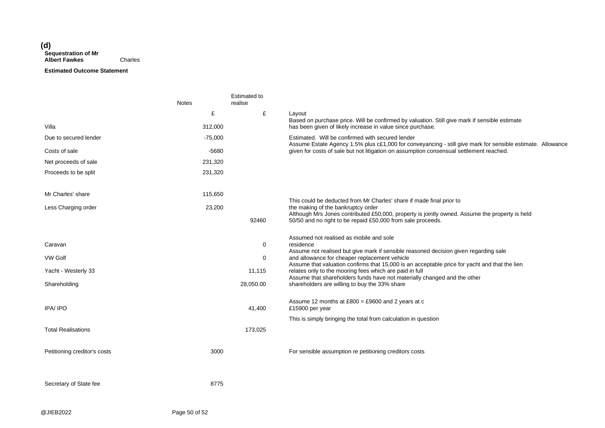#### **(d) Sequestration of Mr Albert Fawkes** Charles

#### **Estimated Outcome Statement**

|                              | <b>Notes</b> | <b>Estimated to</b><br>realise |                                                                                                                                                                                                       |
|------------------------------|--------------|--------------------------------|-------------------------------------------------------------------------------------------------------------------------------------------------------------------------------------------------------|
| Villa                        | £<br>312,000 | £                              | Layout<br>Based on purchase price. Will be confirmed by valuation. Still give mark if sensible estimate<br>has been given of likely increase in value since purchase.                                 |
| Due to secured lender        | $-75,000$    |                                | Estimated. Will be confirmed with secured lender                                                                                                                                                      |
| Costs of sale                | -5680        |                                | Assume Estate Agency 1.5% plus c£1,000 for conveyancing - still give mark for sensible estimate. Allowance<br>given for costs of sale but not litigation on assumption consensual settlement reached. |
| Net proceeds of sale         | 231,320      |                                |                                                                                                                                                                                                       |
| Proceeds to be split         | 231,320      |                                |                                                                                                                                                                                                       |
| Mr Charles' share            | 115,650      |                                |                                                                                                                                                                                                       |
| Less Charging order          | 23,200       |                                | This could be deducted from Mr Charles' share if made final prior to<br>the making of the bankruptcy order                                                                                            |
|                              |              | 92460                          | Although Mrs Jones contributed £50,000, property is jointly owned. Assume the property is held<br>50/50 and no right to be repaid £50,000 from sale proceeds.                                         |
| Caravan                      |              | 0                              | Assumed not realised as mobile and sole<br>residence                                                                                                                                                  |
| <b>VW Golf</b>               |              | $\mathbf 0$                    | Assume not realised but give mark if sensible reasoned decision given regarding sale<br>and allowance for cheaper replacement vehicle                                                                 |
| Yacht - Westerly 33          |              | 11,115                         | Assume that valuation confirms that 15,000 is an acceptable price for yacht and that the lien<br>relates only to the mooring fees which are paid in full                                              |
| Shareholding                 |              | 28,050.00                      | Assume that shareholders funds have not materially changed and the other<br>shareholders are willing to buy the 33% share                                                                             |
|                              |              |                                |                                                                                                                                                                                                       |
| IPA/IPO                      |              | 41,400                         | Assume 12 months at $£800 = £9600$ and 2 years at c<br>£15900 per year                                                                                                                                |
|                              |              |                                | This is simply bringing the total from calculation in question                                                                                                                                        |
| <b>Total Realisations</b>    |              | 173,025                        |                                                                                                                                                                                                       |
| Petitioning creditor's costs | 3000         |                                | For sensible assumption re petitioning creditors costs                                                                                                                                                |
| Secretary of State fee       | 8775         |                                |                                                                                                                                                                                                       |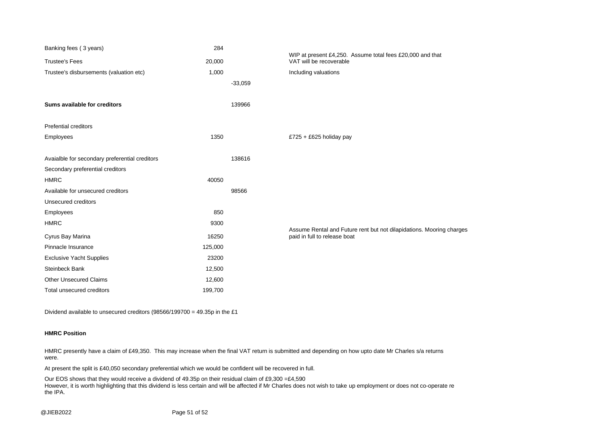| Banking fees (3 years)                         | 284     |           |                                                                                                      |
|------------------------------------------------|---------|-----------|------------------------------------------------------------------------------------------------------|
| <b>Trustee's Fees</b>                          | 20,000  |           | WIP at present £4,250. Assume total fees £20,000 and that<br>VAT will be recoverable                 |
| Trustee's disbursements (valuation etc)        | 1,000   |           | Including valuations                                                                                 |
|                                                |         | $-33,059$ |                                                                                                      |
|                                                |         |           |                                                                                                      |
| Sums available for creditors                   |         | 139966    |                                                                                                      |
| <b>Prefential creditors</b>                    |         |           |                                                                                                      |
| <b>Employees</b>                               | 1350    |           | £725 + £625 holiday pay                                                                              |
|                                                |         |           |                                                                                                      |
| Avaialble for secondary preferential creditors |         | 138616    |                                                                                                      |
| Secondary preferential creditors               |         |           |                                                                                                      |
| <b>HMRC</b>                                    | 40050   |           |                                                                                                      |
| Available for unsecured creditors              |         | 98566     |                                                                                                      |
| Unsecured creditors                            |         |           |                                                                                                      |
| Employees                                      | 850     |           |                                                                                                      |
| <b>HMRC</b>                                    | 9300    |           |                                                                                                      |
| Cyrus Bay Marina                               | 16250   |           | Assume Rental and Future rent but not dilapidations. Mooring charges<br>paid in full to release boat |
| Pinnacle Insurance                             | 125,000 |           |                                                                                                      |
| <b>Exclusive Yacht Supplies</b>                | 23200   |           |                                                                                                      |
| <b>Steinbeck Bank</b>                          | 12,500  |           |                                                                                                      |
| <b>Other Unsecured Claims</b>                  | 12,600  |           |                                                                                                      |
| Total unsecured creditors                      | 199,700 |           |                                                                                                      |

Dividend available to unsecured creditors (98566/199700 = 49.35p in the £1

#### **HMRC Position**

HMRC presently have a claim of £49,350. This may increase when the final VAT return is submitted and depending on how upto date Mr Charles s/a returns were.

At present the split is £40,050 secondary preferential which we would be confident will be recovered in full.

Our EOS shows that they would receive a dividend of 49.35p on their residual claim of £9,300 = $£4,590$ However, it is worth highlighting that this dividend is less certain and will be affected if Mr Charles does not wish to take up employment or does not co-operate re the IPA.